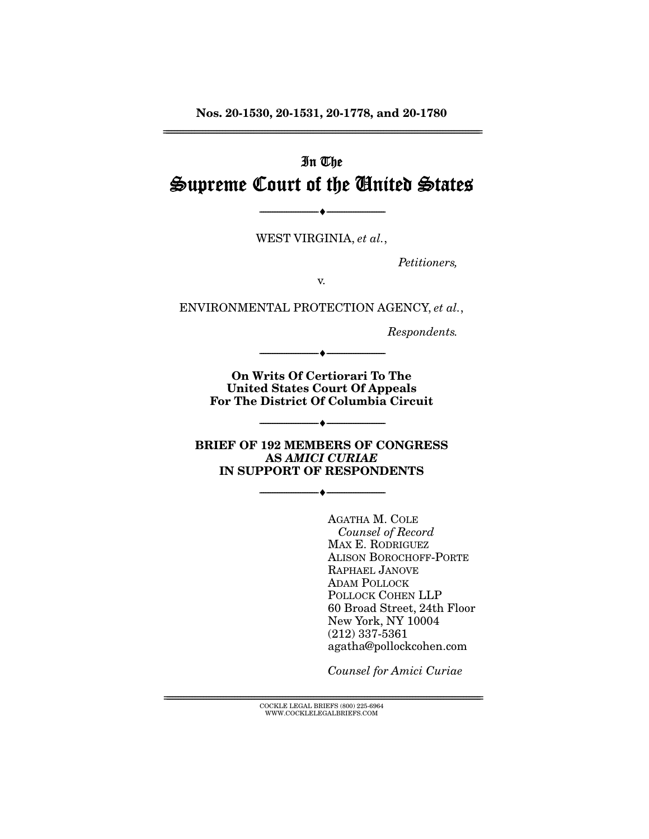**Nos. 20-1530, 20-1531, 20-1778, and 20-1780**  ================================================================================================================

# In The Supreme Court of the United States

WEST VIRGINIA, *et al.*,

--------------------------------- ♦ ---------------------------------

*Petitioners,* 

v.

ENVIRONMENTAL PROTECTION AGENCY, *et al.*,

*Respondents.* 

**On Writs Of Certiorari To The United States Court Of Appeals For The District Of Columbia Circuit** 

--------------------------------- ♦ ---------------------------------

**BRIEF OF 192 MEMBERS OF CONGRESS AS** *AMICI CURIAE* **IN SUPPORT OF RESPONDENTS**

--------------------------------- ♦ ---------------------------------

--------------------------------- ♦ ---------------------------------

AGATHA M. COLE *Counsel of Record*  MAX E. RODRIGUEZ ALISON BOROCHOFF-PORTE RAPHAEL JANOVE ADAM POLLOCK POLLOCK COHEN LLP 60 Broad Street, 24th Floor New York, NY 10004 (212) 337-5361 agatha@pollockcohen.com

*Counsel for Amici Curiae*

 ${ \rm COCKLE}$  LEGAL BRIEFS (800) 225-6964 WWW.COCKLELEGALBRIEFS.COM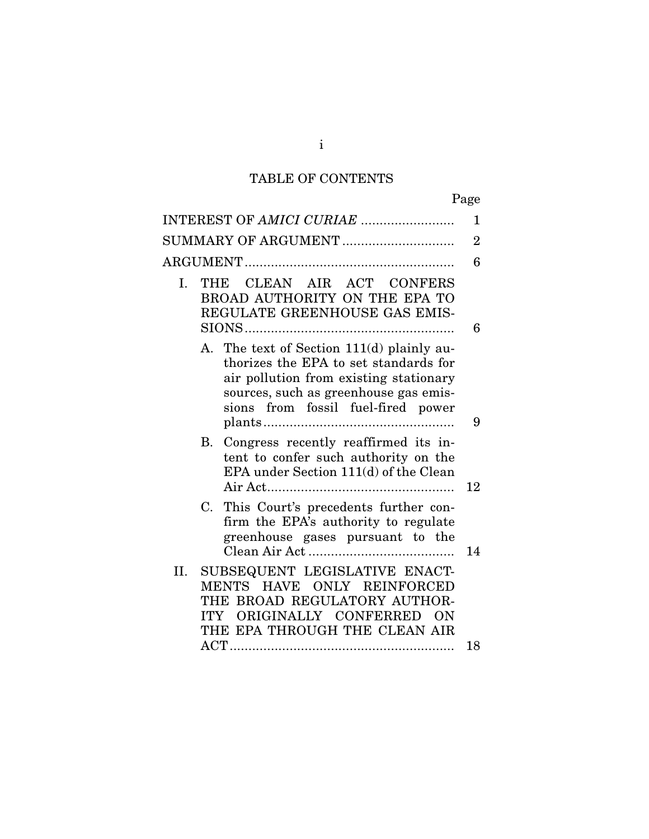# TABLE OF CONTENTS

| INTEREST OF AMICI CURIAE                                                                                                                                                                                    | 1              |
|-------------------------------------------------------------------------------------------------------------------------------------------------------------------------------------------------------------|----------------|
| SUMMARY OF ARGUMENT                                                                                                                                                                                         | $\overline{2}$ |
|                                                                                                                                                                                                             | 6              |
| THE CLEAN AIR ACT CONFERS<br>I.<br>BROAD AUTHORITY ON THE EPA TO<br>REGULATE GREENHOUSE GAS EMIS-                                                                                                           | 6              |
| A. The text of Section 111(d) plainly au-<br>thorizes the EPA to set standards for<br>air pollution from existing stationary<br>sources, such as greenhouse gas emis-<br>sions from fossil fuel-fired power |                |
|                                                                                                                                                                                                             | 9              |
| B. Congress recently reaffirmed its in-<br>tent to confer such authority on the<br>EPA under Section 111(d) of the Clean                                                                                    | 12             |
| This Court's precedents further con-<br>C.<br>firm the EPA's authority to regulate<br>greenhouse gases pursuant to the                                                                                      | 14             |
| SUBSEQUENT LEGISLATIVE ENACT-<br>II.<br>MENTS HAVE ONLY REINFORCED<br>THE BROAD REGULATORY AUTHOR-<br>ITY ORIGINALLY CONFERRED ON<br>THE EPA THROUGH THE CLEAN AIR                                          |                |
|                                                                                                                                                                                                             | 18             |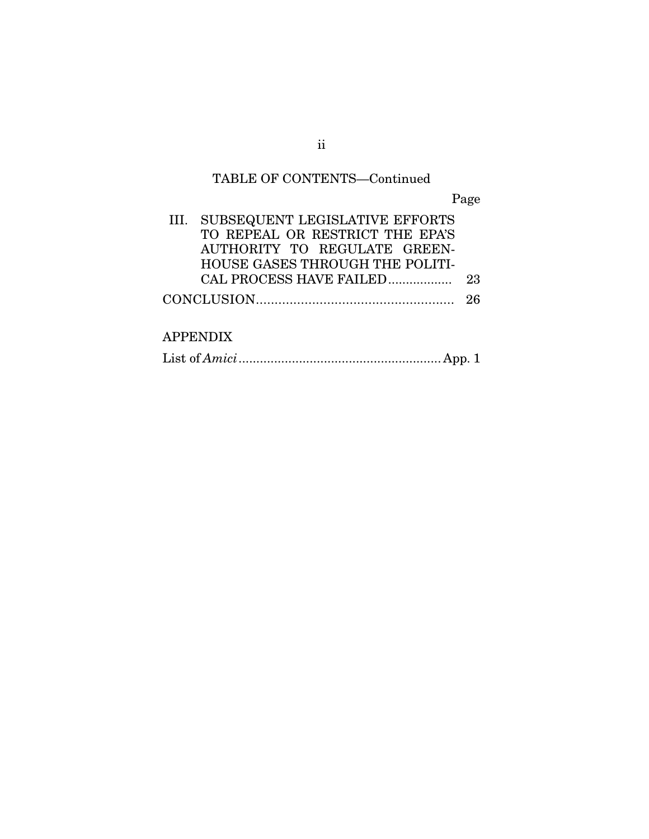# TABLE OF CONTENTS—Continued

Page

| III. SUBSEQUENT LEGISLATIVE EFFORTS |  |
|-------------------------------------|--|
| TO REPEAL OR RESTRICT THE EPA'S     |  |
| AUTHORITY TO REGULATE GREEN-        |  |
| HOUSE GASES THROUGH THE POLITI-     |  |
|                                     |  |
|                                     |  |
|                                     |  |

# APPENDIX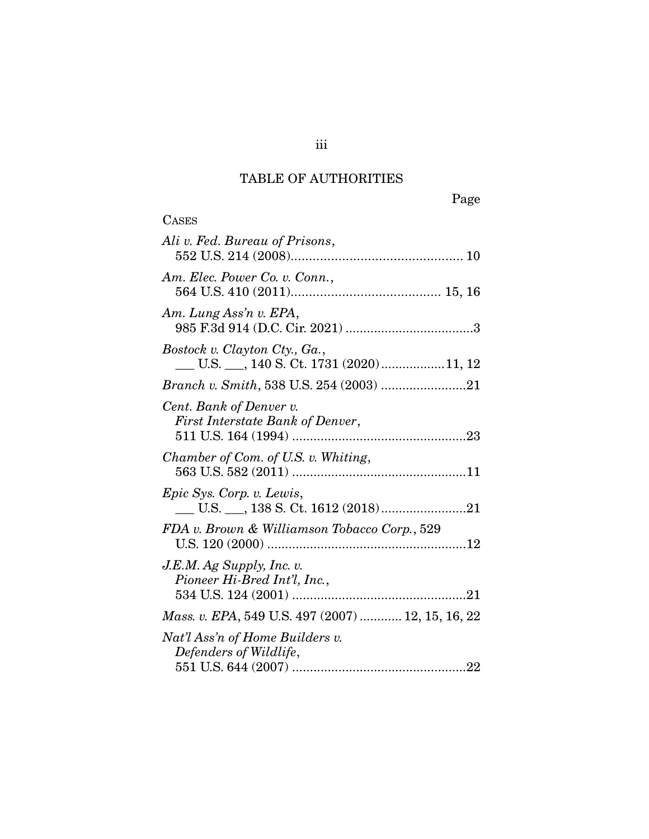# TABLE OF AUTHORITIES

| <b>CASES</b>                                                |
|-------------------------------------------------------------|
| Ali v. Fed. Bureau of Prisons,                              |
| Am. Elec. Power Co. v. Conn.,                               |
| Am. Lung Ass'n v. EPA,                                      |
| Bostock v. Clayton Cty., Ga.,                               |
| Branch v. Smith, 538 U.S. 254 (2003) 21                     |
| Cent. Bank of Denver v.<br>First Interstate Bank of Denver, |
| Chamber of Com. of U.S. v. Whiting,                         |
| <i>Epic Sys. Corp. v. Lewis,</i>                            |
| FDA v. Brown & Williamson Tobacco Corp., 529                |
| $J.E.M.$ Ag Supply, Inc. v.<br>Pioneer Hi-Bred Int'l, Inc., |
| Mass. v. EPA, 549 U.S. 497 (2007)  12, 15, 16, 22           |
| Nat'l Ass'n of Home Builders v.<br>Defenders of Wildlife,   |
|                                                             |

iii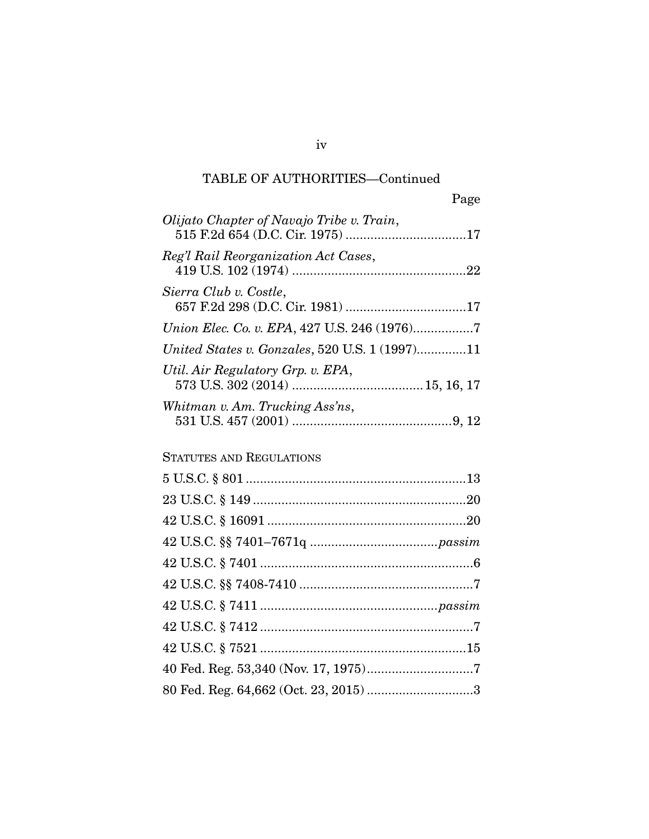# TABLE OF AUTHORITIES—Continued

| Page                                           |  |
|------------------------------------------------|--|
| Olijato Chapter of Navajo Tribe v. Train,      |  |
| Reg'l Rail Reorganization Act Cases,           |  |
| Sierra Club v. Costle,                         |  |
|                                                |  |
| United States v. Gonzales, 520 U.S. 1 (1997)11 |  |
| Util. Air Regulatory Grp. v. EPA,              |  |
| Whitman v. Am. Trucking Ass'ns,                |  |

# STATUTES AND REGULATIONS

| 80 Fed. Reg. 64,662 (Oct. 23, 2015) 3 |  |
|---------------------------------------|--|

iv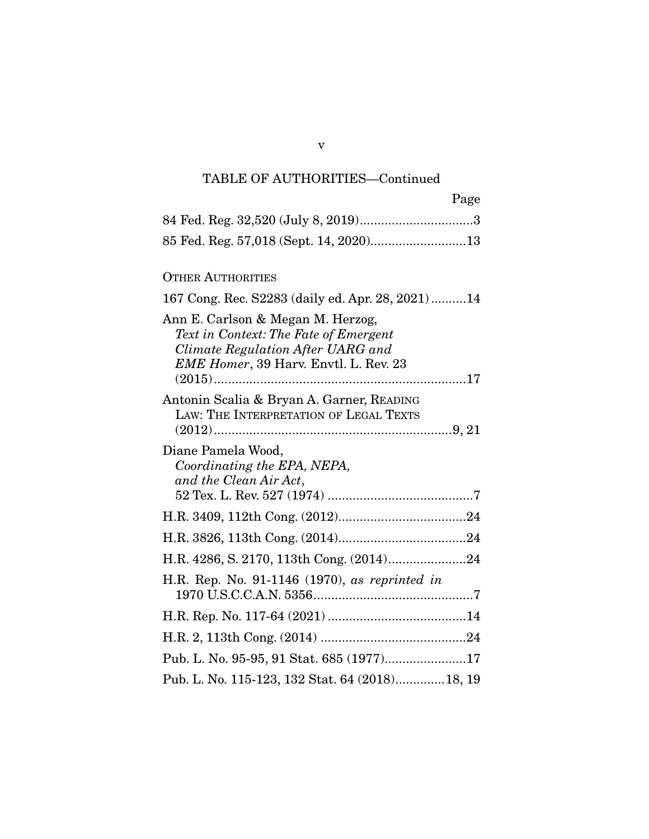# TABLE OF AUTHORITIES—Continued

| Page                                                                                                                                                     |
|----------------------------------------------------------------------------------------------------------------------------------------------------------|
|                                                                                                                                                          |
| 85 Fed. Reg. 57,018 (Sept. 14, 2020)13                                                                                                                   |
| <b>OTHER AUTHORITIES</b>                                                                                                                                 |
| 167 Cong. Rec. S2283 (daily ed. Apr. 28, 2021)14                                                                                                         |
| Ann E. Carlson & Megan M. Herzog,<br>Text in Context: The Fate of Emergent<br>Climate Regulation After UARG and<br>EME Homer, 39 Harv. Envtl. L. Rev. 23 |
| Antonin Scalia & Bryan A. Garner, READING<br>LAW: THE INTERPRETATION OF LEGAL TEXTS                                                                      |
| Diane Pamela Wood,<br>Coordinating the EPA, NEPA,<br>and the Clean Air Act,                                                                              |
|                                                                                                                                                          |
|                                                                                                                                                          |
| H.R. 4286, S. 2170, 113th Cong. (2014)24                                                                                                                 |
| H.R. Rep. No. 91-1146 (1970), as reprinted in                                                                                                            |
|                                                                                                                                                          |
|                                                                                                                                                          |
| Pub. L. No. 95-95, 91 Stat. 685 (1977)17                                                                                                                 |
| Pub. L. No. 115-123, 132 Stat. 64 (2018) 18, 19                                                                                                          |

v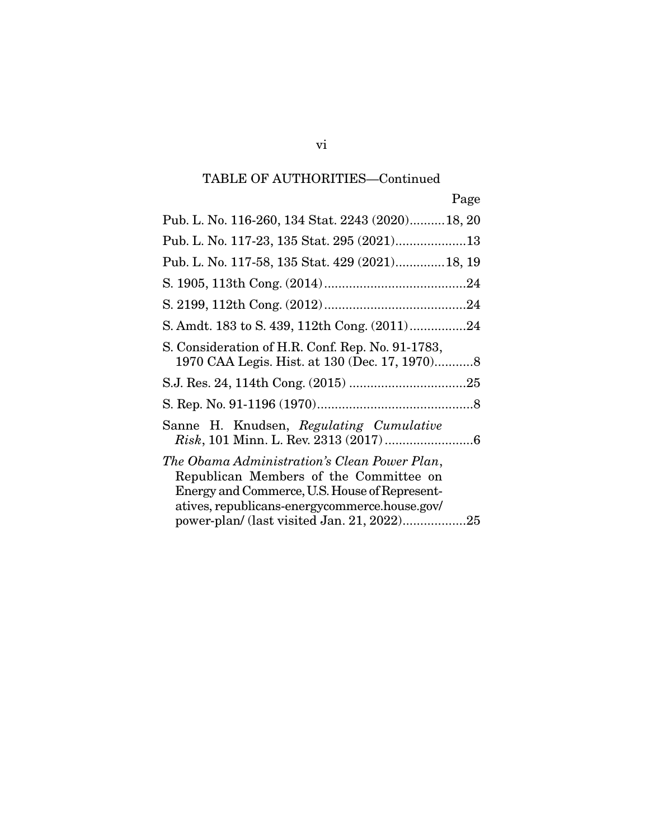# TABLE OF AUTHORITIES—Continued

| Pub. L. No. 116-260, 134 Stat. 2243 (2020) 18, 20                                                                                                                                        |
|------------------------------------------------------------------------------------------------------------------------------------------------------------------------------------------|
|                                                                                                                                                                                          |
| Pub. L. No. 117-58, 135 Stat. 429 (2021) 18, 19                                                                                                                                          |
|                                                                                                                                                                                          |
|                                                                                                                                                                                          |
| S. Amdt. 183 to S. 439, 112th Cong. (2011)24                                                                                                                                             |
| S. Consideration of H.R. Conf. Rep. No. 91-1783,<br>1970 CAA Legis. Hist. at 130 (Dec. 17, 1970)8                                                                                        |
|                                                                                                                                                                                          |
|                                                                                                                                                                                          |
| Sanne H. Knudsen, Regulating Cumulative                                                                                                                                                  |
| The Obama Administration's Clean Power Plan,<br>Republican Members of the Committee on<br>Energy and Commerce, U.S. House of Represent-<br>atives, republicans-energycommerce.house.gov/ |
|                                                                                                                                                                                          |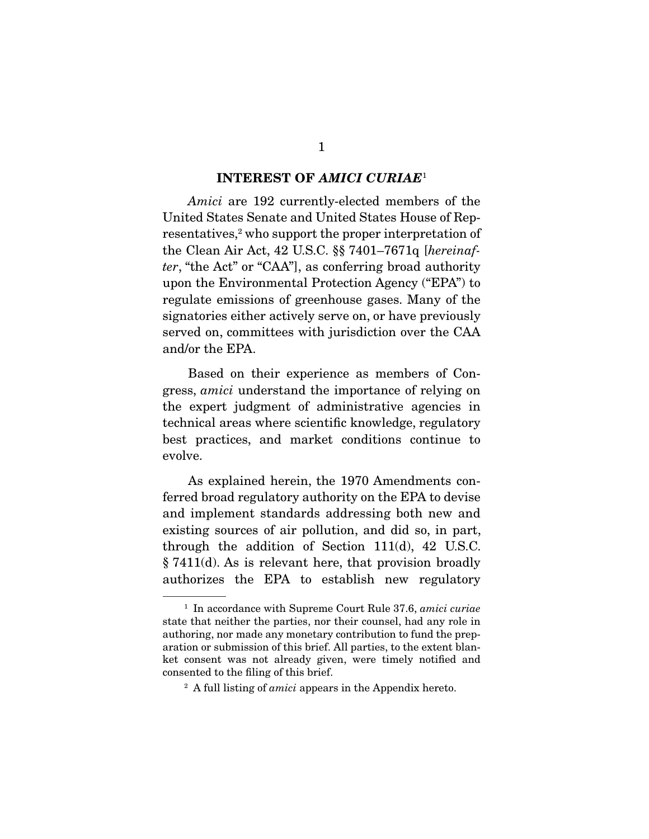#### **INTEREST OF** *AMICI CURIAE*<sup>1</sup>

Amici are 192 currently-elected members of the United States Senate and United States House of Representatives,<sup>2</sup> who support the proper interpretation of the Clean Air Act, 42 U.S.C. §§ 7401–7671q [hereinafter, "the Act" or "CAA"], as conferring broad authority upon the Environmental Protection Agency ("EPA") to regulate emissions of greenhouse gases. Many of the signatories either actively serve on, or have previously served on, committees with jurisdiction over the CAA and/or the EPA.

 Based on their experience as members of Congress, amici understand the importance of relying on the expert judgment of administrative agencies in technical areas where scientific knowledge, regulatory best practices, and market conditions continue to evolve.

 As explained herein, the 1970 Amendments conferred broad regulatory authority on the EPA to devise and implement standards addressing both new and existing sources of air pollution, and did so, in part, through the addition of Section 111(d), 42 U.S.C. § 7411(d). As is relevant here, that provision broadly authorizes the EPA to establish new regulatory

 $1$  In accordance with Supreme Court Rule 37.6, amici curiae state that neither the parties, nor their counsel, had any role in authoring, nor made any monetary contribution to fund the preparation or submission of this brief. All parties, to the extent blanket consent was not already given, were timely notified and consented to the filing of this brief.

 $2 A$  full listing of *amici* appears in the Appendix hereto.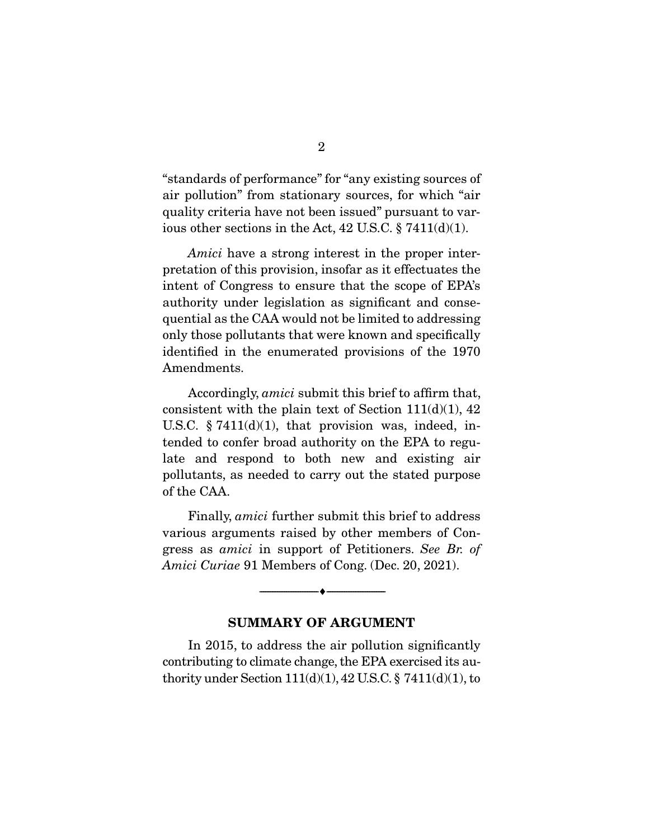"standards of performance" for "any existing sources of air pollution" from stationary sources, for which "air quality criteria have not been issued" pursuant to various other sections in the Act,  $42$  U.S.C.  $\S$  7411(d)(1).

Amici have a strong interest in the proper interpretation of this provision, insofar as it effectuates the intent of Congress to ensure that the scope of EPA's authority under legislation as significant and consequential as the CAA would not be limited to addressing only those pollutants that were known and specifically identified in the enumerated provisions of the 1970 Amendments.

 Accordingly, amici submit this brief to affirm that, consistent with the plain text of Section  $111(d)(1)$ , 42 U.S.C.  $\S 7411(d)(1)$ , that provision was, indeed, intended to confer broad authority on the EPA to regulate and respond to both new and existing air pollutants, as needed to carry out the stated purpose of the CAA.

 Finally, amici further submit this brief to address various arguments raised by other members of Congress as amici in support of Petitioners. See Br. of Amici Curiae 91 Members of Cong. (Dec. 20, 2021).

#### **SUMMARY OF ARGUMENT**

 $\overbrace{\hspace{2.5cm}}^{\bullet}$   $\overbrace{\hspace{2.5cm}}^{\bullet}$ 

 In 2015, to address the air pollution significantly contributing to climate change, the EPA exercised its authority under Section  $111(d)(1)$ ,  $42$  U.S.C. §  $7411(d)(1)$ , to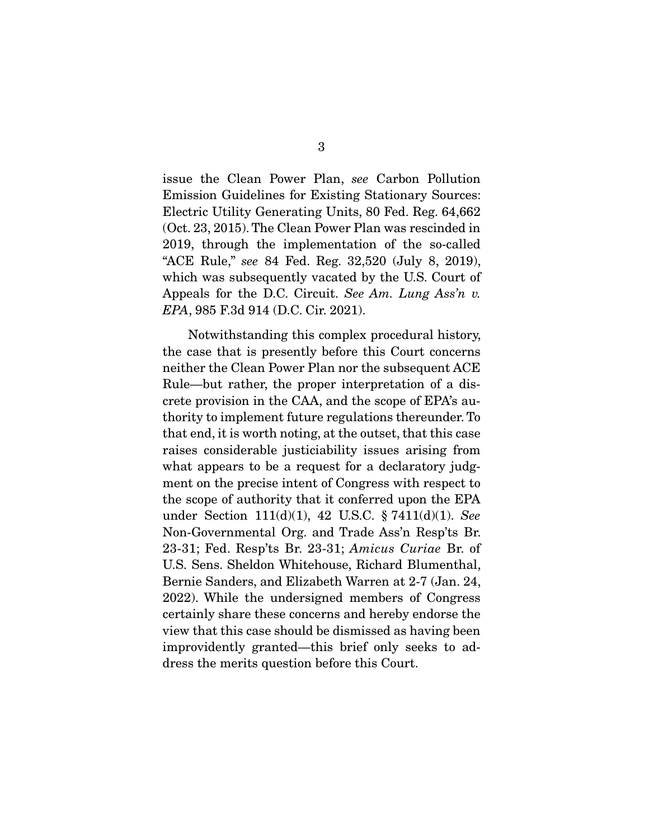issue the Clean Power Plan, see Carbon Pollution Emission Guidelines for Existing Stationary Sources: Electric Utility Generating Units, 80 Fed. Reg. 64,662 (Oct. 23, 2015). The Clean Power Plan was rescinded in 2019, through the implementation of the so-called "ACE Rule," see 84 Fed. Reg. 32,520 (July 8, 2019), which was subsequently vacated by the U.S. Court of Appeals for the D.C. Circuit. See Am. Lung Ass'n v. EPA, 985 F.3d 914 (D.C. Cir. 2021).

 Notwithstanding this complex procedural history, the case that is presently before this Court concerns neither the Clean Power Plan nor the subsequent ACE Rule—but rather, the proper interpretation of a discrete provision in the CAA, and the scope of EPA's authority to implement future regulations thereunder. To that end, it is worth noting, at the outset, that this case raises considerable justiciability issues arising from what appears to be a request for a declaratory judgment on the precise intent of Congress with respect to the scope of authority that it conferred upon the EPA under Section 111(d)(1), 42 U.S.C. § 7411(d)(1). See Non-Governmental Org. and Trade Ass'n Resp'ts Br. 23-31; Fed. Resp'ts Br. 23-31; Amicus Curiae Br. of U.S. Sens. Sheldon Whitehouse, Richard Blumenthal, Bernie Sanders, and Elizabeth Warren at 2-7 (Jan. 24, 2022). While the undersigned members of Congress certainly share these concerns and hereby endorse the view that this case should be dismissed as having been improvidently granted—this brief only seeks to address the merits question before this Court.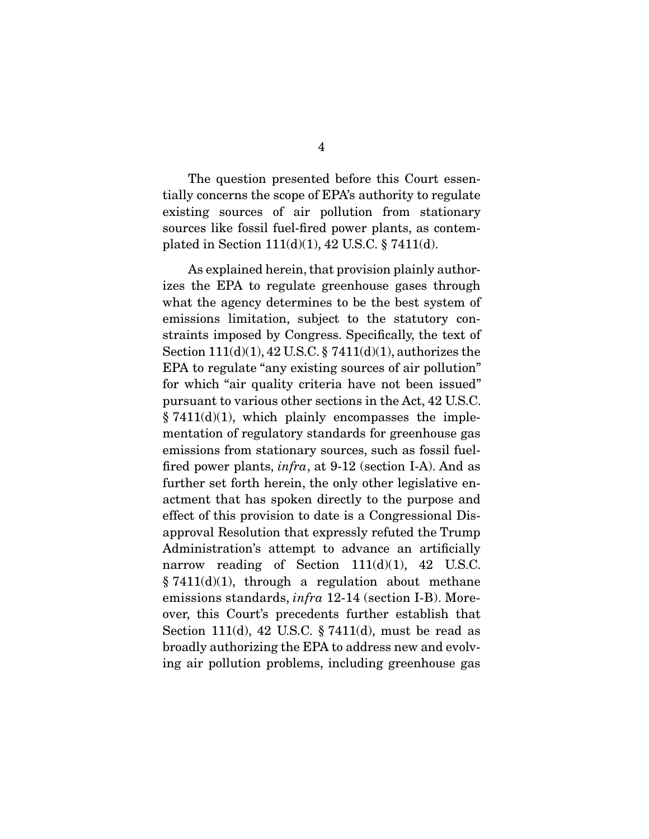The question presented before this Court essentially concerns the scope of EPA's authority to regulate existing sources of air pollution from stationary sources like fossil fuel-fired power plants, as contemplated in Section 111(d)(1), 42 U.S.C. § 7411(d).

 As explained herein, that provision plainly authorizes the EPA to regulate greenhouse gases through what the agency determines to be the best system of emissions limitation, subject to the statutory constraints imposed by Congress. Specifically, the text of Section 111(d)(1), 42 U.S.C. § 7411(d)(1), authorizes the EPA to regulate "any existing sources of air pollution" for which "air quality criteria have not been issued" pursuant to various other sections in the Act, 42 U.S.C.  $§ 7411(d)(1)$ , which plainly encompasses the implementation of regulatory standards for greenhouse gas emissions from stationary sources, such as fossil fuelfired power plants, infra, at 9-12 (section I-A). And as further set forth herein, the only other legislative enactment that has spoken directly to the purpose and effect of this provision to date is a Congressional Disapproval Resolution that expressly refuted the Trump Administration's attempt to advance an artificially narrow reading of Section  $111(d)(1)$ , 42 U.S.C.  $§ 7411(d)(1),$  through a regulation about methane emissions standards, infra 12-14 (section I-B). Moreover, this Court's precedents further establish that Section 111(d), 42 U.S.C. § 7411(d), must be read as broadly authorizing the EPA to address new and evolving air pollution problems, including greenhouse gas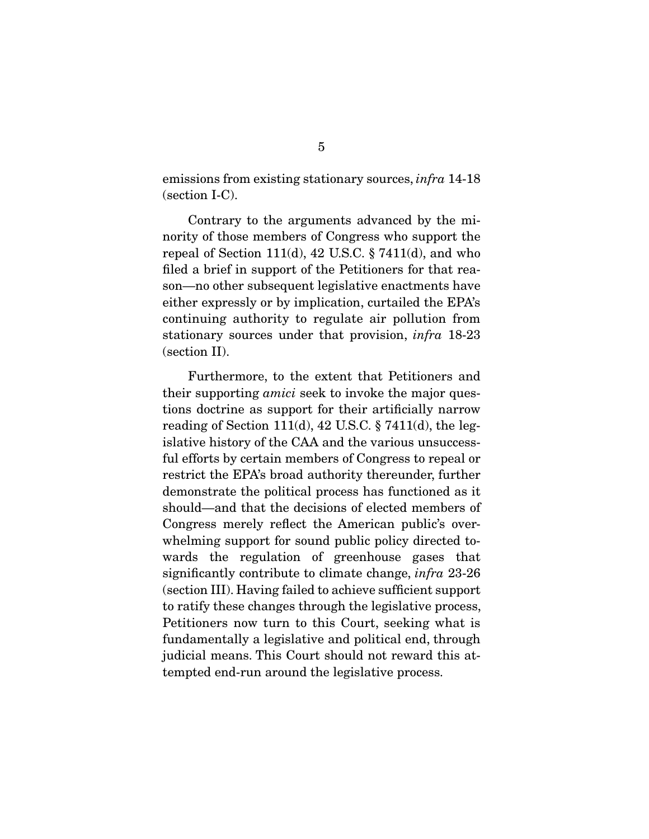emissions from existing stationary sources, *infra* 14-18 (section I-C).

 Contrary to the arguments advanced by the minority of those members of Congress who support the repeal of Section 111(d), 42 U.S.C.  $\S 7411(d)$ , and who filed a brief in support of the Petitioners for that reason—no other subsequent legislative enactments have either expressly or by implication, curtailed the EPA's continuing authority to regulate air pollution from stationary sources under that provision, infra 18-23 (section II).

 Furthermore, to the extent that Petitioners and their supporting amici seek to invoke the major questions doctrine as support for their artificially narrow reading of Section 111(d), 42 U.S.C.  $\S$  7411(d), the legislative history of the CAA and the various unsuccessful efforts by certain members of Congress to repeal or restrict the EPA's broad authority thereunder, further demonstrate the political process has functioned as it should—and that the decisions of elected members of Congress merely reflect the American public's overwhelming support for sound public policy directed towards the regulation of greenhouse gases that significantly contribute to climate change, *infra* 23-26 (section III). Having failed to achieve sufficient support to ratify these changes through the legislative process, Petitioners now turn to this Court, seeking what is fundamentally a legislative and political end, through judicial means. This Court should not reward this attempted end-run around the legislative process.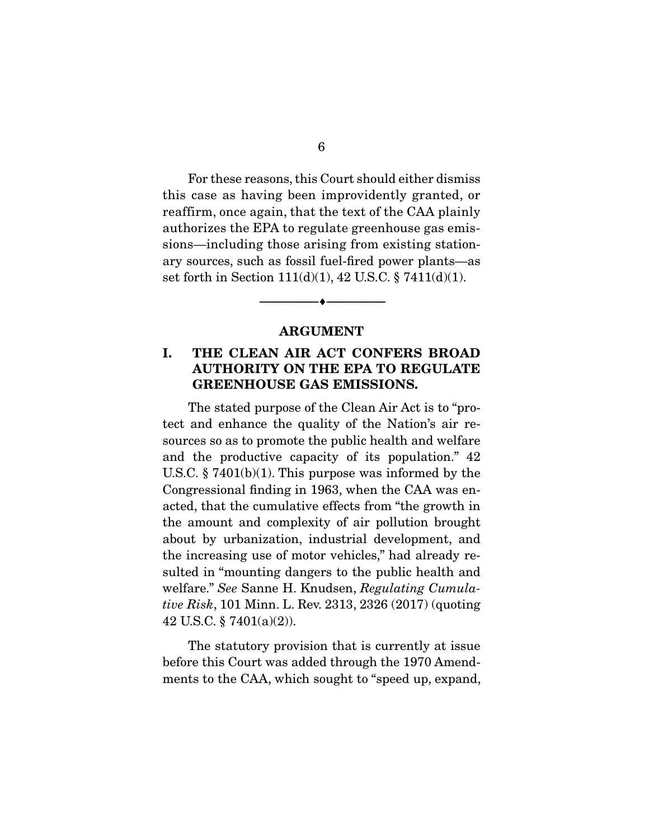For these reasons, this Court should either dismiss this case as having been improvidently granted, or reaffirm, once again, that the text of the CAA plainly authorizes the EPA to regulate greenhouse gas emissions—including those arising from existing stationary sources, such as fossil fuel-fired power plants—as set forth in Section 111(d)(1), 42 U.S.C. § 7411(d)(1).

#### **ARGUMENT**

--------------------------------- ♦ ---------------------------------

# **I. THE CLEAN AIR ACT CONFERS BROAD AUTHORITY ON THE EPA TO REGULATE GREENHOUSE GAS EMISSIONS.**

 The stated purpose of the Clean Air Act is to "protect and enhance the quality of the Nation's air resources so as to promote the public health and welfare and the productive capacity of its population." 42 U.S.C. § 7401(b)(1). This purpose was informed by the Congressional finding in 1963, when the CAA was enacted, that the cumulative effects from "the growth in the amount and complexity of air pollution brought about by urbanization, industrial development, and the increasing use of motor vehicles," had already resulted in "mounting dangers to the public health and welfare." See Sanne H. Knudsen, Regulating Cumulative Risk, 101 Minn. L. Rev. 2313, 2326 (2017) (quoting 42 U.S.C. § 7401(a)(2)).

 The statutory provision that is currently at issue before this Court was added through the 1970 Amendments to the CAA, which sought to "speed up, expand,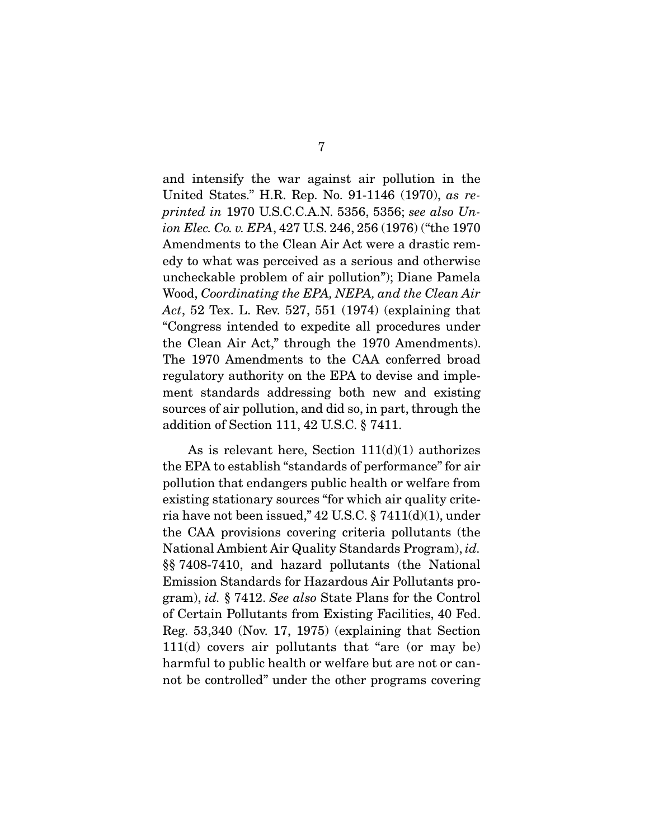and intensify the war against air pollution in the United States." H.R. Rep. No. 91-1146 (1970), as reprinted in 1970 U.S.C.C.A.N. 5356, 5356; see also Union Elec. Co. v. EPA, 427 U.S. 246, 256 (1976) ("the 1970 Amendments to the Clean Air Act were a drastic remedy to what was perceived as a serious and otherwise uncheckable problem of air pollution"); Diane Pamela Wood, Coordinating the EPA, NEPA, and the Clean Air Act, 52 Tex. L. Rev. 527, 551 (1974) (explaining that "Congress intended to expedite all procedures under the Clean Air Act," through the 1970 Amendments). The 1970 Amendments to the CAA conferred broad regulatory authority on the EPA to devise and implement standards addressing both new and existing sources of air pollution, and did so, in part, through the addition of Section 111, 42 U.S.C. § 7411.

As is relevant here, Section  $111(d)(1)$  authorizes the EPA to establish "standards of performance" for air pollution that endangers public health or welfare from existing stationary sources "for which air quality criteria have not been issued,"  $42$  U.S.C.  $\S$   $7411(d)(1)$ , under the CAA provisions covering criteria pollutants (the National Ambient Air Quality Standards Program), id. §§ 7408-7410, and hazard pollutants (the National Emission Standards for Hazardous Air Pollutants program), id. § 7412. See also State Plans for the Control of Certain Pollutants from Existing Facilities, 40 Fed. Reg. 53,340 (Nov. 17, 1975) (explaining that Section 111(d) covers air pollutants that "are (or may be) harmful to public health or welfare but are not or cannot be controlled" under the other programs covering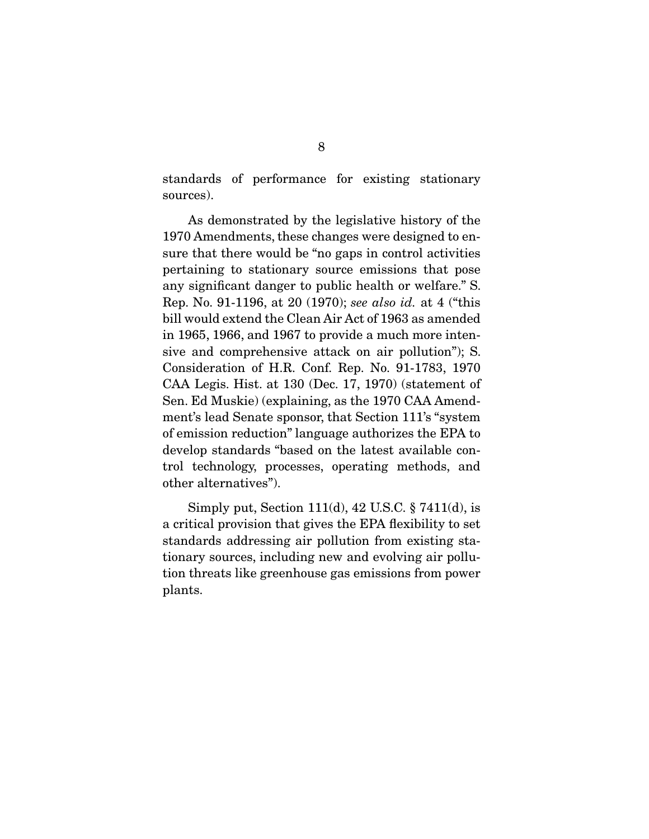standards of performance for existing stationary sources).

 As demonstrated by the legislative history of the 1970 Amendments, these changes were designed to ensure that there would be "no gaps in control activities pertaining to stationary source emissions that pose any significant danger to public health or welfare." S. Rep. No. 91-1196, at 20 (1970); see also id. at 4 ("this bill would extend the Clean Air Act of 1963 as amended in 1965, 1966, and 1967 to provide a much more intensive and comprehensive attack on air pollution"); S. Consideration of H.R. Conf. Rep. No. 91-1783, 1970 CAA Legis. Hist. at 130 (Dec. 17, 1970) (statement of Sen. Ed Muskie) (explaining, as the 1970 CAA Amendment's lead Senate sponsor, that Section 111's "system of emission reduction" language authorizes the EPA to develop standards "based on the latest available control technology, processes, operating methods, and other alternatives").

 Simply put, Section 111(d), 42 U.S.C. § 7411(d), is a critical provision that gives the EPA flexibility to set standards addressing air pollution from existing stationary sources, including new and evolving air pollution threats like greenhouse gas emissions from power plants.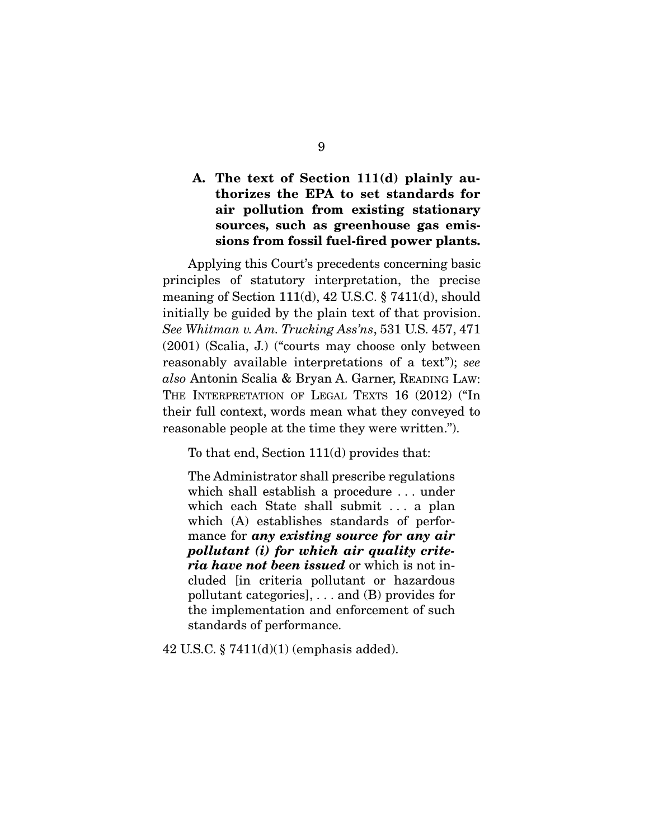# **A. The text of Section 111(d) plainly authorizes the EPA to set standards for air pollution from existing stationary sources, such as greenhouse gas emissions from fossil fuel-fired power plants.**

 Applying this Court's precedents concerning basic principles of statutory interpretation, the precise meaning of Section 111(d), 42 U.S.C. § 7411(d), should initially be guided by the plain text of that provision. See Whitman v. Am. Trucking Ass'ns, 531 U.S. 457, 471 (2001) (Scalia, J.) ("courts may choose only between reasonably available interpretations of a text"); see also Antonin Scalia & Bryan A. Garner, READING LAW: THE INTERPRETATION OF LEGAL TEXTS 16 (2012) ("In their full context, words mean what they conveyed to reasonable people at the time they were written.").

To that end, Section 111(d) provides that:

The Administrator shall prescribe regulations which shall establish a procedure . . . under which each State shall submit . . . a plan which (A) establishes standards of performance for *any existing source for any air pollutant (i) for which air quality criteria have not been issued* or which is not included [in criteria pollutant or hazardous pollutant categories], . . . and (B) provides for the implementation and enforcement of such standards of performance.

42 U.S.C. § 7411(d)(1) (emphasis added).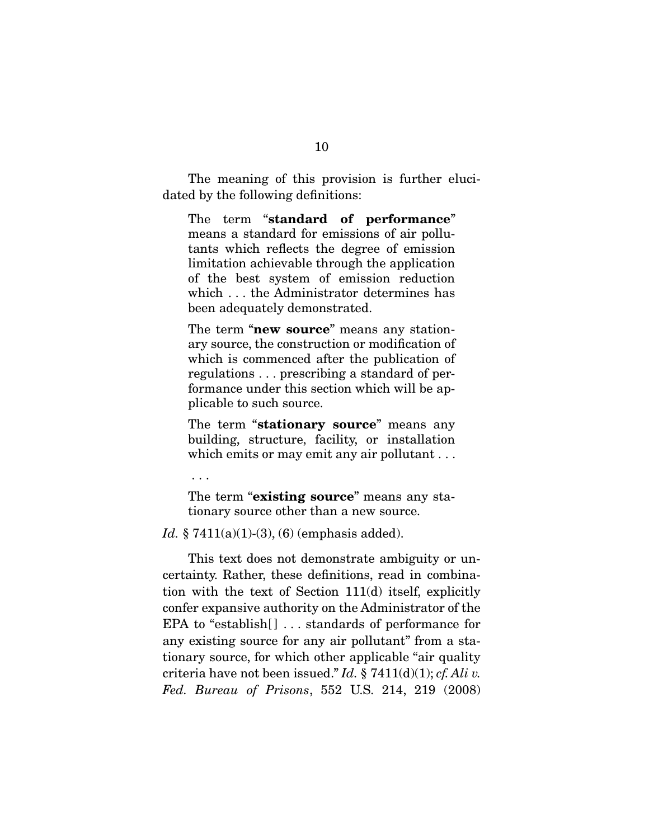The meaning of this provision is further elucidated by the following definitions:

The term "**standard of performance**" means a standard for emissions of air pollutants which reflects the degree of emission limitation achievable through the application of the best system of emission reduction which . . . the Administrator determines has been adequately demonstrated.

The term "**new source**" means any stationary source, the construction or modification of which is commenced after the publication of regulations . . . prescribing a standard of performance under this section which will be applicable to such source.

The term "**stationary source**" means any building, structure, facility, or installation which emits or may emit any air pollutant . . .

. . .

The term "**existing source**" means any stationary source other than a new source.

Id. § 7411(a)(1)-(3), (6) (emphasis added).

 This text does not demonstrate ambiguity or uncertainty. Rather, these definitions, read in combination with the text of Section 111(d) itself, explicitly confer expansive authority on the Administrator of the EPA to "establish[] ... standards of performance for any existing source for any air pollutant" from a stationary source, for which other applicable "air quality criteria have not been issued." Id. § 7411(d)(1); cf. Ali v. Fed. Bureau of Prisons, 552 U.S. 214, 219 (2008)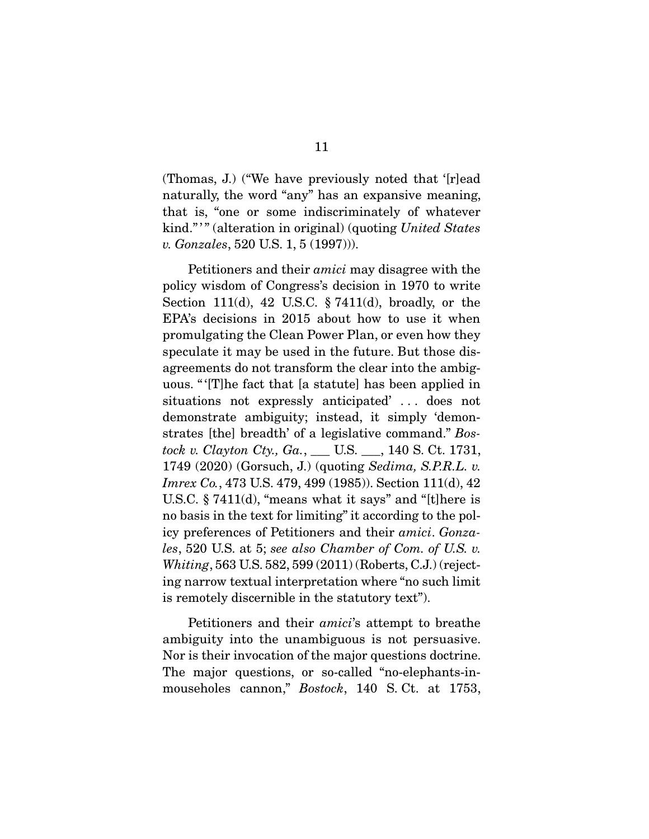(Thomas, J.) ("We have previously noted that '[r]ead naturally, the word "any" has an expansive meaning, that is, "one or some indiscriminately of whatever kind."" (alteration in original) (quoting United States v. Gonzales, 520 U.S. 1, 5 (1997))).

 Petitioners and their amici may disagree with the policy wisdom of Congress's decision in 1970 to write Section 111(d), 42 U.S.C.  $\S 7411(d)$ , broadly, or the EPA's decisions in 2015 about how to use it when promulgating the Clean Power Plan, or even how they speculate it may be used in the future. But those disagreements do not transform the clear into the ambiguous. " '[T]he fact that [a statute] has been applied in situations not expressly anticipated' . . . does not demonstrate ambiguity; instead, it simply 'demonstrates [the] breadth' of a legislative command." Bostock v. Clayton Cty., Ga., \_\_\_ U.S. \_\_\_, 140 S. Ct. 1731, 1749 (2020) (Gorsuch, J.) (quoting Sedima, S.P.R.L. v. Imrex Co., 473 U.S. 479, 499 (1985)). Section 111(d), 42 U.S.C. § 7411(d), "means what it says" and "[t]here is no basis in the text for limiting" it according to the policy preferences of Petitioners and their amici. Gonzales, 520 U.S. at 5; see also Chamber of Com. of U.S. v. Whiting, 563 U.S. 582, 599 (2011) (Roberts, C.J.) (rejecting narrow textual interpretation where "no such limit is remotely discernible in the statutory text").

 Petitioners and their amici's attempt to breathe ambiguity into the unambiguous is not persuasive. Nor is their invocation of the major questions doctrine. The major questions, or so-called "no-elephants-inmouseholes cannon," Bostock, 140 S.Ct. at 1753,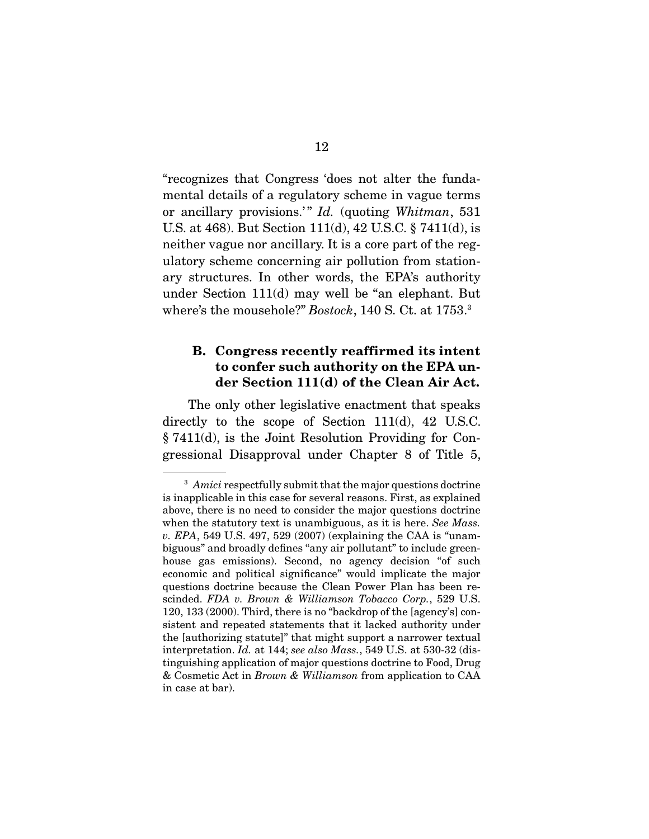"recognizes that Congress 'does not alter the fundamental details of a regulatory scheme in vague terms or ancillary provisions.'" Id. (quoting Whitman, 531 U.S. at 468). But Section 111(d), 42 U.S.C. § 7411(d), is neither vague nor ancillary. It is a core part of the regulatory scheme concerning air pollution from stationary structures. In other words, the EPA's authority under Section 111(d) may well be "an elephant. But where's the mousehole?" Bostock, 140 S. Ct. at 1753.<sup>3</sup>

# **B. Congress recently reaffirmed its intent to confer such authority on the EPA under Section 111(d) of the Clean Air Act.**

 The only other legislative enactment that speaks directly to the scope of Section 111(d), 42 U.S.C. § 7411(d), is the Joint Resolution Providing for Congressional Disapproval under Chapter 8 of Title 5,

<sup>&</sup>lt;sup>3</sup> Amici respectfully submit that the major questions doctrine is inapplicable in this case for several reasons. First, as explained above, there is no need to consider the major questions doctrine when the statutory text is unambiguous, as it is here. See Mass. v. EPA, 549 U.S. 497, 529 (2007) (explaining the CAA is "unambiguous" and broadly defines "any air pollutant" to include greenhouse gas emissions). Second, no agency decision "of such economic and political significance" would implicate the major questions doctrine because the Clean Power Plan has been rescinded. FDA v. Brown & Williamson Tobacco Corp., 529 U.S. 120, 133 (2000). Third, there is no "backdrop of the [agency's] consistent and repeated statements that it lacked authority under the [authorizing statute]" that might support a narrower textual interpretation. Id. at 144; see also Mass., 549 U.S. at 530-32 (distinguishing application of major questions doctrine to Food, Drug & Cosmetic Act in Brown & Williamson from application to CAA in case at bar).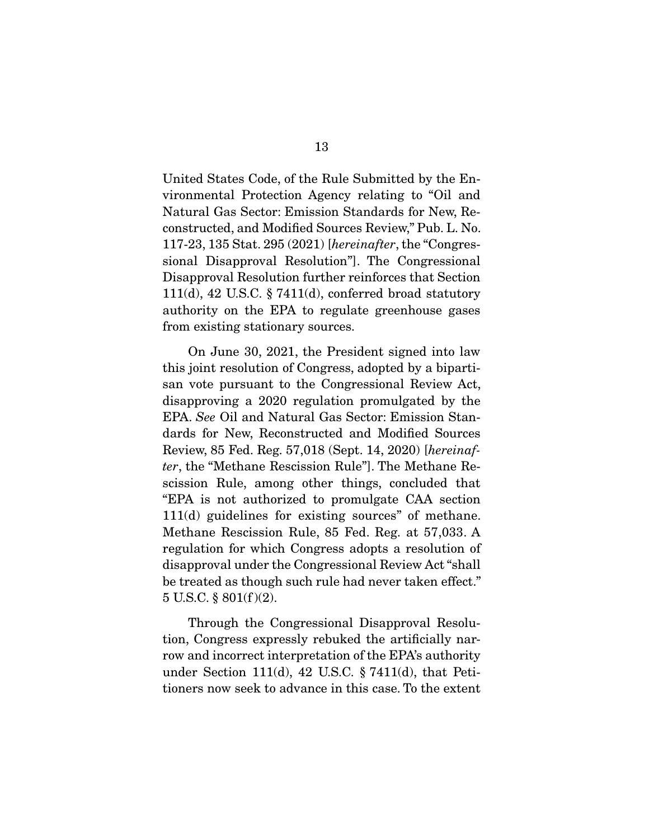United States Code, of the Rule Submitted by the Environmental Protection Agency relating to "Oil and Natural Gas Sector: Emission Standards for New, Reconstructed, and Modified Sources Review," Pub. L. No. 117-23, 135 Stat. 295 (2021) [hereinafter, the "Congressional Disapproval Resolution"]. The Congressional Disapproval Resolution further reinforces that Section 111(d), 42 U.S.C.  $\S 7411(d)$ , conferred broad statutory authority on the EPA to regulate greenhouse gases from existing stationary sources.

 On June 30, 2021, the President signed into law this joint resolution of Congress, adopted by a bipartisan vote pursuant to the Congressional Review Act, disapproving a 2020 regulation promulgated by the EPA. See Oil and Natural Gas Sector: Emission Standards for New, Reconstructed and Modified Sources Review, 85 Fed. Reg. 57,018 (Sept. 14, 2020) [hereinafter, the "Methane Rescission Rule"]. The Methane Rescission Rule, among other things, concluded that "EPA is not authorized to promulgate CAA section 111(d) guidelines for existing sources" of methane. Methane Rescission Rule, 85 Fed. Reg. at 57,033. A regulation for which Congress adopts a resolution of disapproval under the Congressional Review Act "shall be treated as though such rule had never taken effect."  $5 \text{ U.S.C. } \S 801 \text{ (f)} \text{ (2)}.$ 

 Through the Congressional Disapproval Resolution, Congress expressly rebuked the artificially narrow and incorrect interpretation of the EPA's authority under Section 111(d), 42 U.S.C. § 7411(d), that Petitioners now seek to advance in this case. To the extent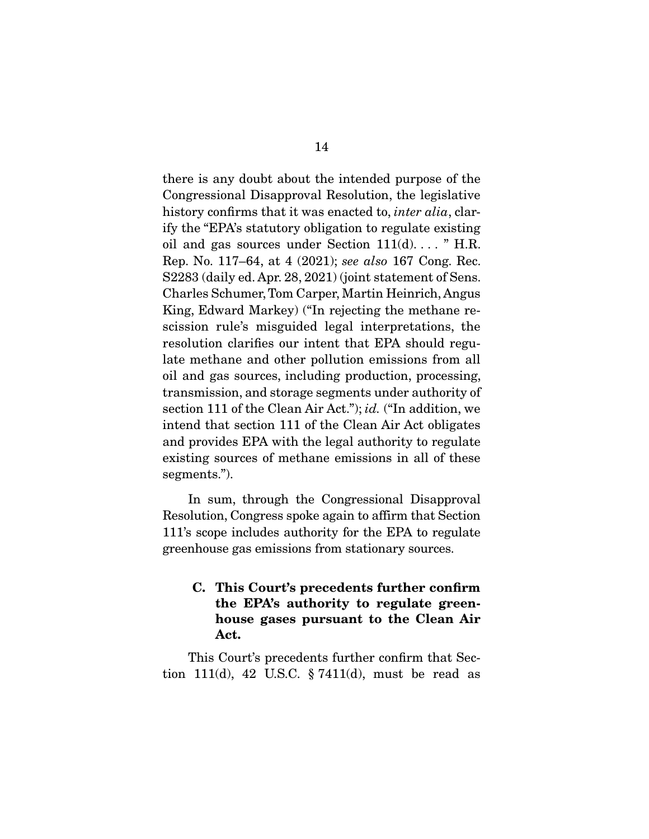there is any doubt about the intended purpose of the Congressional Disapproval Resolution, the legislative history confirms that it was enacted to, *inter alia*, clarify the "EPA's statutory obligation to regulate existing oil and gas sources under Section  $111(d)$ ...." H.R. Rep. No. 117–64, at 4 (2021); see also 167 Cong. Rec. S2283 (daily ed. Apr. 28, 2021) (joint statement of Sens. Charles Schumer, Tom Carper, Martin Heinrich, Angus King, Edward Markey) ("In rejecting the methane rescission rule's misguided legal interpretations, the resolution clarifies our intent that EPA should regulate methane and other pollution emissions from all oil and gas sources, including production, processing, transmission, and storage segments under authority of section 111 of the Clean Air Act."); id. ("In addition, we intend that section 111 of the Clean Air Act obligates and provides EPA with the legal authority to regulate existing sources of methane emissions in all of these segments.").

 In sum, through the Congressional Disapproval Resolution, Congress spoke again to affirm that Section 111's scope includes authority for the EPA to regulate greenhouse gas emissions from stationary sources.

# **C. This Court's precedents further confirm the EPA's authority to regulate greenhouse gases pursuant to the Clean Air Act.**

 This Court's precedents further confirm that Section 111(d), 42 U.S.C.  $\S 7411(d)$ , must be read as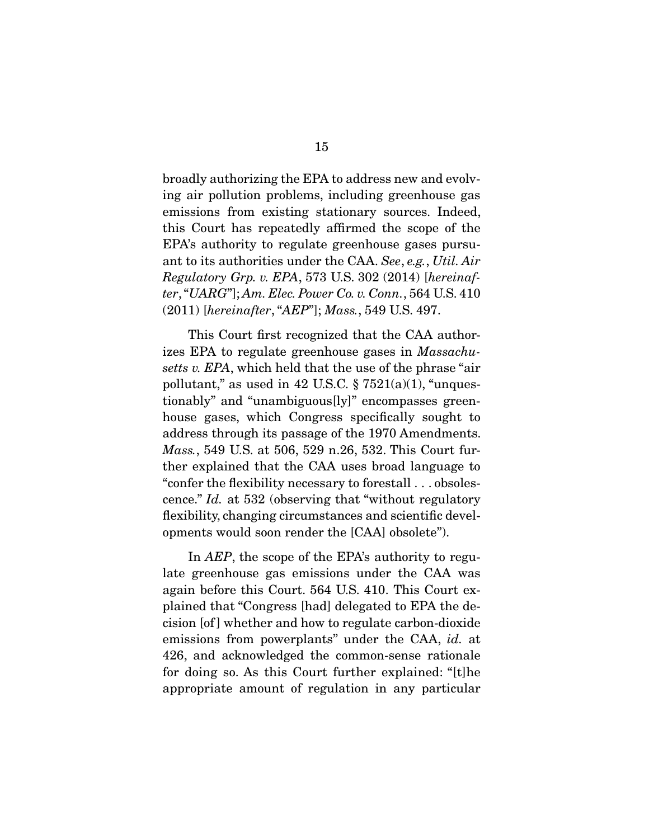broadly authorizing the EPA to address new and evolving air pollution problems, including greenhouse gas emissions from existing stationary sources. Indeed, this Court has repeatedly affirmed the scope of the EPA's authority to regulate greenhouse gases pursuant to its authorities under the CAA. See, e.g., Util. Air Regulatory Grp. v. EPA, 573 U.S. 302 (2014) [hereinafter, "UARG"]; Am. Elec. Power Co. v. Conn., 564 U.S. 410 (2011) [hereinafter, "AEP"]; Mass., 549 U.S. 497.

 This Court first recognized that the CAA authorizes EPA to regulate greenhouse gases in Massachusetts v. EPA, which held that the use of the phrase "air pollutant," as used in 42 U.S.C.  $\S 7521(a)(1)$ , "unquestionably" and "unambiguous[ly]" encompasses greenhouse gases, which Congress specifically sought to address through its passage of the 1970 Amendments. Mass., 549 U.S. at 506, 529 n.26, 532. This Court further explained that the CAA uses broad language to "confer the flexibility necessary to forestall . . . obsolescence." Id. at 532 (observing that "without regulatory flexibility, changing circumstances and scientific developments would soon render the [CAA] obsolete").

 In AEP, the scope of the EPA's authority to regulate greenhouse gas emissions under the CAA was again before this Court. 564 U.S. 410. This Court explained that "Congress [had] delegated to EPA the decision [of ] whether and how to regulate carbon-dioxide emissions from powerplants" under the CAA, *id.* at 426, and acknowledged the common-sense rationale for doing so. As this Court further explained: "[t]he appropriate amount of regulation in any particular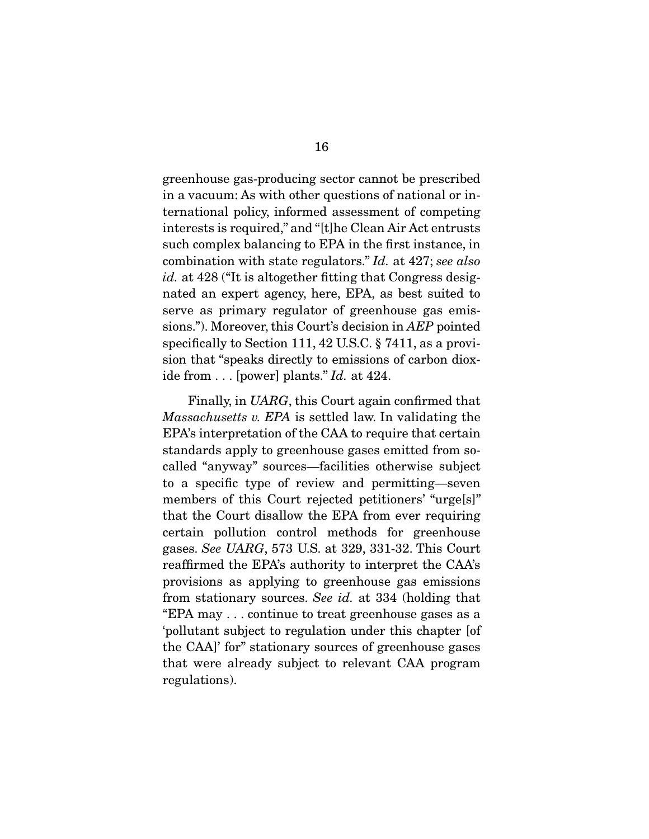greenhouse gas-producing sector cannot be prescribed in a vacuum: As with other questions of national or international policy, informed assessment of competing interests is required," and "[t]he Clean Air Act entrusts such complex balancing to EPA in the first instance, in combination with state regulators." Id. at 427; see also id. at 428 ("It is altogether fitting that Congress designated an expert agency, here, EPA, as best suited to serve as primary regulator of greenhouse gas emissions."). Moreover, this Court's decision in AEP pointed specifically to Section 111, 42 U.S.C. § 7411, as a provision that "speaks directly to emissions of carbon dioxide from  $\ldots$  [power] plants." Id. at 424.

 Finally, in UARG, this Court again confirmed that Massachusetts v. EPA is settled law. In validating the EPA's interpretation of the CAA to require that certain standards apply to greenhouse gases emitted from socalled "anyway" sources—facilities otherwise subject to a specific type of review and permitting—seven members of this Court rejected petitioners' "urge[s]" that the Court disallow the EPA from ever requiring certain pollution control methods for greenhouse gases. See UARG, 573 U.S. at 329, 331-32. This Court reaffirmed the EPA's authority to interpret the CAA's provisions as applying to greenhouse gas emissions from stationary sources. See id. at 334 (holding that "EPA may . . . continue to treat greenhouse gases as a 'pollutant subject to regulation under this chapter [of the CAA]' for" stationary sources of greenhouse gases that were already subject to relevant CAA program regulations).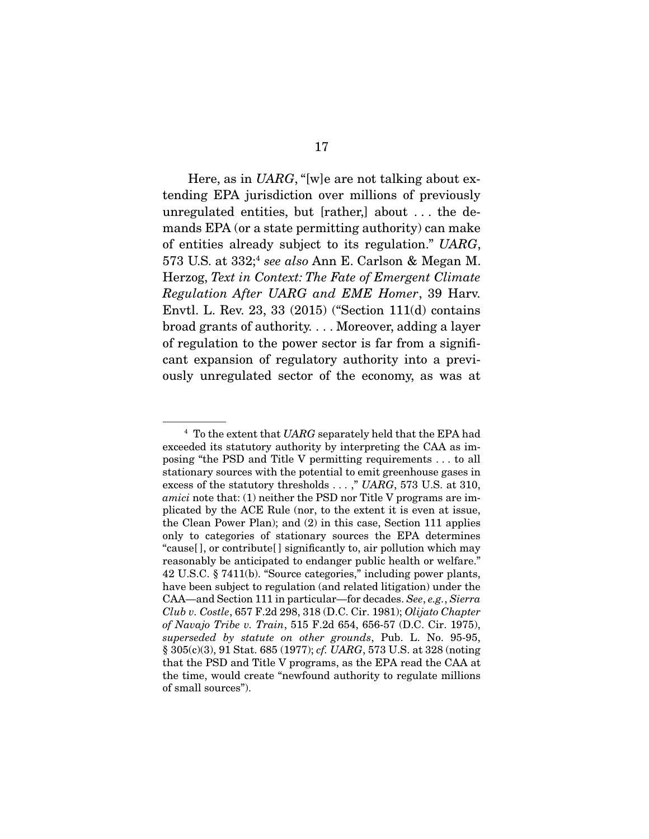Here, as in UARG, "[w]e are not talking about extending EPA jurisdiction over millions of previously unregulated entities, but [rather,] about . . . the demands EPA (or a state permitting authority) can make of entities already subject to its regulation." UARG, 573 U.S. at  $332$ ;<sup>4</sup> see also Ann E. Carlson & Megan M. Herzog, Text in Context: The Fate of Emergent Climate Regulation After UARG and EME Homer, 39 Harv. Envtl. L. Rev. 23, 33 (2015) ("Section 111(d) contains broad grants of authority. . . . Moreover, adding a layer of regulation to the power sector is far from a significant expansion of regulatory authority into a previously unregulated sector of the economy, as was at

 $4$  To the extent that UARG separately held that the EPA had exceeded its statutory authority by interpreting the CAA as imposing "the PSD and Title V permitting requirements . . . to all stationary sources with the potential to emit greenhouse gases in excess of the statutory thresholds . . . ," UARG, 573 U.S. at 310, amici note that: (1) neither the PSD nor Title V programs are implicated by the ACE Rule (nor, to the extent it is even at issue, the Clean Power Plan); and (2) in this case, Section 111 applies only to categories of stationary sources the EPA determines "cause[ ], or contribute[ ] significantly to, air pollution which may reasonably be anticipated to endanger public health or welfare." 42 U.S.C. § 7411(b). "Source categories," including power plants, have been subject to regulation (and related litigation) under the CAA—and Section 111 in particular—for decades. See, e.g., Sierra Club v. Costle, 657 F.2d 298, 318 (D.C. Cir. 1981); Olijato Chapter of Navajo Tribe v. Train, 515 F.2d 654, 656-57 (D.C. Cir. 1975), superseded by statute on other grounds, Pub. L. No. 95-95, § 305(c)(3), 91 Stat. 685 (1977); cf. UARG, 573 U.S. at 328 (noting that the PSD and Title V programs, as the EPA read the CAA at the time, would create "newfound authority to regulate millions of small sources").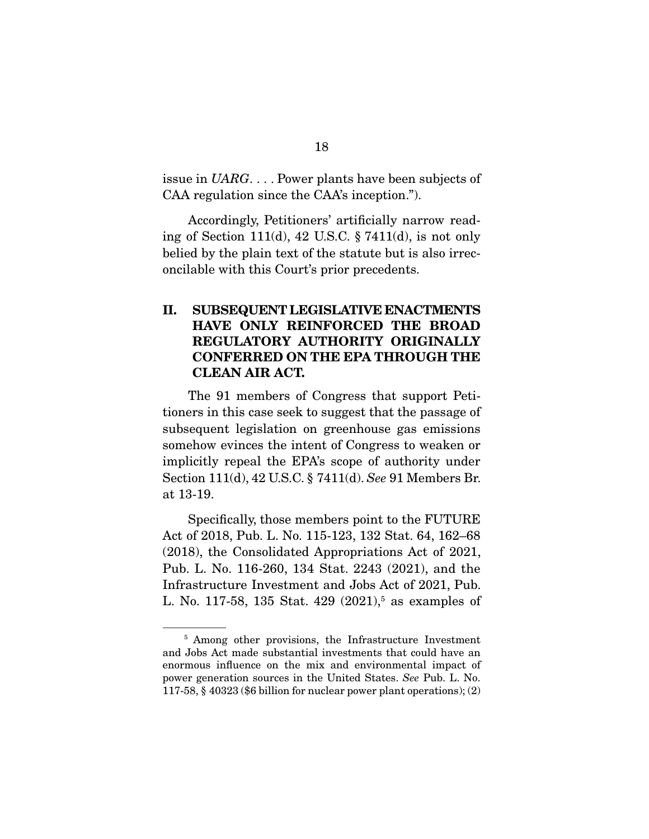issue in UARG. . . . Power plants have been subjects of CAA regulation since the CAA's inception.").

 Accordingly, Petitioners' artificially narrow reading of Section 111(d), 42 U.S.C.  $\S 7411(d)$ , is not only belied by the plain text of the statute but is also irreconcilable with this Court's prior precedents.

# **II. SUBSEQUENT LEGISLATIVE ENACTMENTS HAVE ONLY REINFORCED THE BROAD REGULATORY AUTHORITY ORIGINALLY CONFERRED ON THE EPA THROUGH THE CLEAN AIR ACT.**

 The 91 members of Congress that support Petitioners in this case seek to suggest that the passage of subsequent legislation on greenhouse gas emissions somehow evinces the intent of Congress to weaken or implicitly repeal the EPA's scope of authority under Section 111(d), 42 U.S.C. § 7411(d). See 91 Members Br. at 13-19.

 Specifically, those members point to the FUTURE Act of 2018, Pub. L. No. 115-123, 132 Stat. 64, 162–68 (2018), the Consolidated Appropriations Act of 2021, Pub. L. No. 116-260, 134 Stat. 2243 (2021), and the Infrastructure Investment and Jobs Act of 2021, Pub. L. No. 117-58, 135 Stat. 429 (2021),<sup>5</sup> as examples of

<sup>&</sup>lt;sup>5</sup> Among other provisions, the Infrastructure Investment and Jobs Act made substantial investments that could have an enormous influence on the mix and environmental impact of power generation sources in the United States. See Pub. L. No. 117-58, § 40323 (\$6 billion for nuclear power plant operations); (2)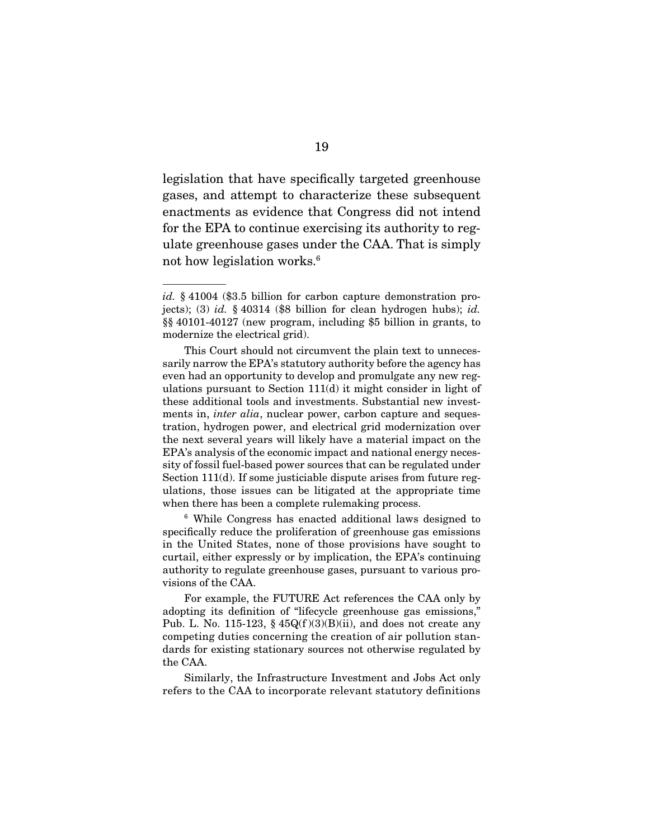legislation that have specifically targeted greenhouse gases, and attempt to characterize these subsequent enactments as evidence that Congress did not intend for the EPA to continue exercising its authority to regulate greenhouse gases under the CAA. That is simply not how legislation works.6

<sup>6</sup> While Congress has enacted additional laws designed to specifically reduce the proliferation of greenhouse gas emissions in the United States, none of those provisions have sought to curtail, either expressly or by implication, the EPA's continuing authority to regulate greenhouse gases, pursuant to various provisions of the CAA.

 For example, the FUTURE Act references the CAA only by adopting its definition of "lifecycle greenhouse gas emissions," Pub. L. No. 115-123,  $\frac{6}{9}$  45Q(f)(3)(B)(ii), and does not create any competing duties concerning the creation of air pollution standards for existing stationary sources not otherwise regulated by the CAA.

 Similarly, the Infrastructure Investment and Jobs Act only refers to the CAA to incorporate relevant statutory definitions

id. § 41004 (\$3.5 billion for carbon capture demonstration projects); (3) id.  $\S 40314$  (\$8 billion for clean hydrogen hubs); id. §§ 40101-40127 (new program, including \$5 billion in grants, to modernize the electrical grid).

This Court should not circumvent the plain text to unnecessarily narrow the EPA's statutory authority before the agency has even had an opportunity to develop and promulgate any new regulations pursuant to Section 111(d) it might consider in light of these additional tools and investments. Substantial new investments in, *inter alia*, nuclear power, carbon capture and sequestration, hydrogen power, and electrical grid modernization over the next several years will likely have a material impact on the EPA's analysis of the economic impact and national energy necessity of fossil fuel-based power sources that can be regulated under Section 111(d). If some justiciable dispute arises from future regulations, those issues can be litigated at the appropriate time when there has been a complete rulemaking process.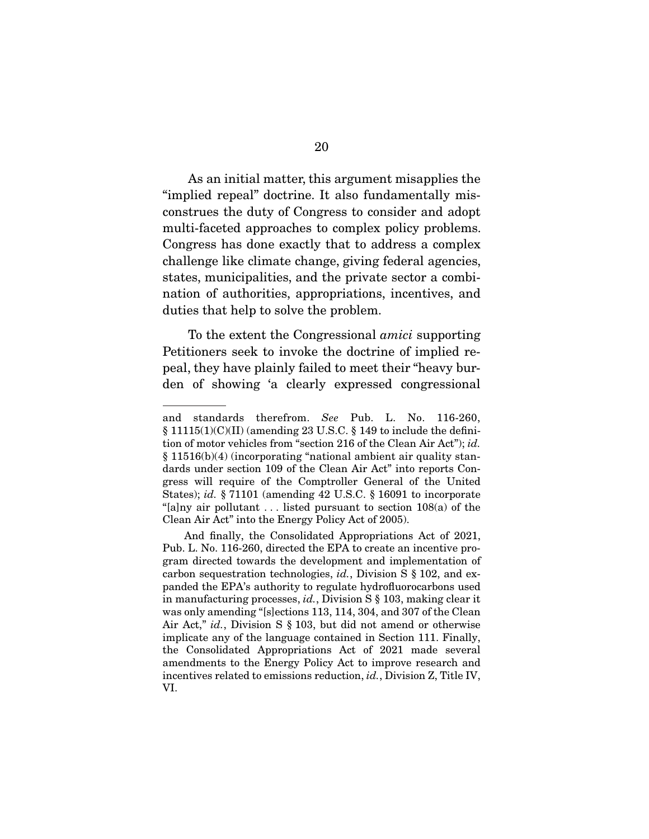As an initial matter, this argument misapplies the "implied repeal" doctrine. It also fundamentally misconstrues the duty of Congress to consider and adopt multi-faceted approaches to complex policy problems. Congress has done exactly that to address a complex challenge like climate change, giving federal agencies, states, municipalities, and the private sector a combination of authorities, appropriations, incentives, and duties that help to solve the problem.

 To the extent the Congressional amici supporting Petitioners seek to invoke the doctrine of implied repeal, they have plainly failed to meet their "heavy burden of showing 'a clearly expressed congressional

and standards therefrom. See Pub. L. No. 116-260, § 11115(1)(C)(II) (amending 23 U.S.C. § 149 to include the definition of motor vehicles from "section 216 of the Clean Air Act"); id. § 11516(b)(4) (incorporating "national ambient air quality standards under section 109 of the Clean Air Act" into reports Congress will require of the Comptroller General of the United States); id. § 71101 (amending 42 U.S.C. § 16091 to incorporate "[a]ny air pollutant  $\dots$  listed pursuant to section 108(a) of the Clean Air Act" into the Energy Policy Act of 2005).

And finally, the Consolidated Appropriations Act of 2021, Pub. L. No. 116-260, directed the EPA to create an incentive program directed towards the development and implementation of carbon sequestration technologies, id., Division S § 102, and expanded the EPA's authority to regulate hydrofluorocarbons used in manufacturing processes, id., Division S § 103, making clear it was only amending "[s]ections 113, 114, 304, and 307 of the Clean Air Act," id., Division S § 103, but did not amend or otherwise implicate any of the language contained in Section 111. Finally, the Consolidated Appropriations Act of 2021 made several amendments to the Energy Policy Act to improve research and incentives related to emissions reduction, id., Division Z, Title IV, VI.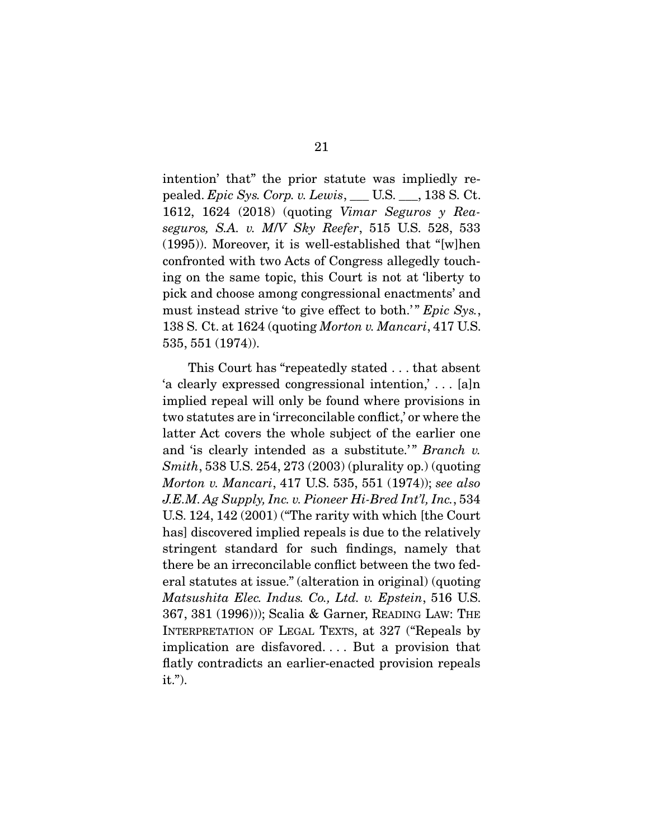intention' that" the prior statute was impliedly repealed. Epic Sys. Corp. v. Lewis, \_\_\_ U.S. \_\_\_, 138 S. Ct. 1612, 1624 (2018) (quoting Vimar Seguros y Reaseguros, S.A. v. M/V Sky Reefer, 515 U.S. 528, 533 (1995)). Moreover, it is well-established that "[w]hen confronted with two Acts of Congress allegedly touching on the same topic, this Court is not at 'liberty to pick and choose among congressional enactments' and must instead strive 'to give effect to both.'" Epic Sys., 138 S. Ct. at 1624 (quoting Morton v. Mancari, 417 U.S. 535, 551 (1974)).

 This Court has "repeatedly stated . . . that absent 'a clearly expressed congressional intention,' . . . [a]n implied repeal will only be found where provisions in two statutes are in 'irreconcilable conflict,' or where the latter Act covers the whole subject of the earlier one and 'is clearly intended as a substitute.'" Branch v. Smith, 538 U.S. 254, 273 (2003) (plurality op.) (quoting Morton v. Mancari, 417 U.S. 535, 551 (1974)); see also J.E.M. Ag Supply, Inc. v. Pioneer Hi-Bred Int'l, Inc., 534 U.S. 124, 142 (2001) ("The rarity with which [the Court has] discovered implied repeals is due to the relatively stringent standard for such findings, namely that there be an irreconcilable conflict between the two federal statutes at issue." (alteration in original) (quoting Matsushita Elec. Indus. Co., Ltd. v. Epstein, 516 U.S. 367, 381 (1996))); Scalia & Garner, READING LAW: THE INTERPRETATION OF LEGAL TEXTS, at 327 ("Repeals by implication are disfavored. . . . But a provision that flatly contradicts an earlier-enacted provision repeals it.").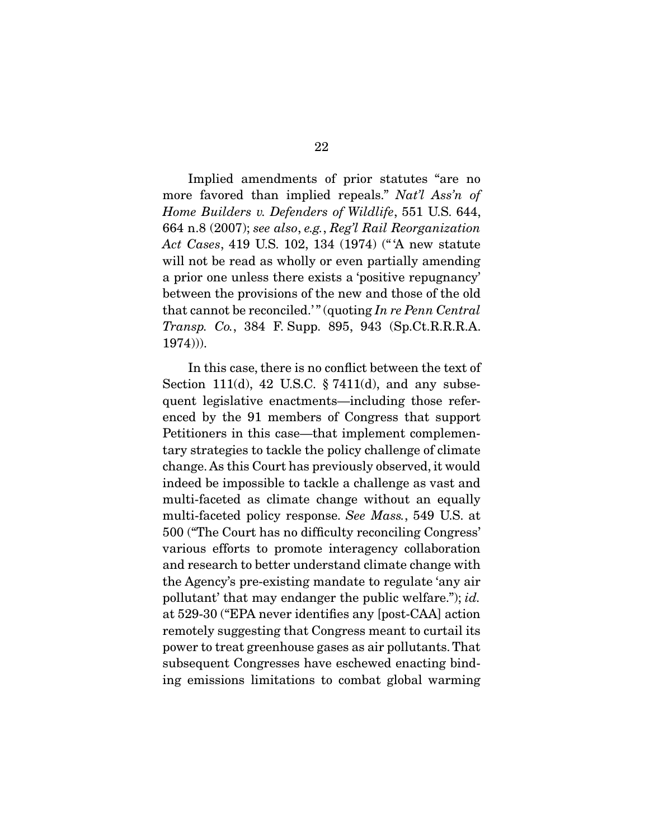Implied amendments of prior statutes "are no more favored than implied repeals." Nat'l Ass'n of Home Builders v. Defenders of Wildlife, 551 U.S. 644, 664 n.8 (2007); see also, e.g., Reg'l Rail Reorganization Act Cases, 419 U.S. 102, 134 (1974) (" 'A new statute will not be read as wholly or even partially amending a prior one unless there exists a 'positive repugnancy' between the provisions of the new and those of the old that cannot be reconciled.'" (quoting  $In re Penn Central$ Transp. Co., 384 F. Supp. 895, 943 (Sp.Ct.R.R.R.A. 1974))).

 In this case, there is no conflict between the text of Section 111(d), 42 U.S.C.  $\S 7411(d)$ , and any subsequent legislative enactments—including those referenced by the 91 members of Congress that support Petitioners in this case—that implement complementary strategies to tackle the policy challenge of climate change. As this Court has previously observed, it would indeed be impossible to tackle a challenge as vast and multi-faceted as climate change without an equally multi-faceted policy response. See Mass., 549 U.S. at 500 ("The Court has no difficulty reconciling Congress' various efforts to promote interagency collaboration and research to better understand climate change with the Agency's pre-existing mandate to regulate 'any air pollutant' that may endanger the public welfare."); id. at 529-30 ("EPA never identifies any [post-CAA] action remotely suggesting that Congress meant to curtail its power to treat greenhouse gases as air pollutants. That subsequent Congresses have eschewed enacting binding emissions limitations to combat global warming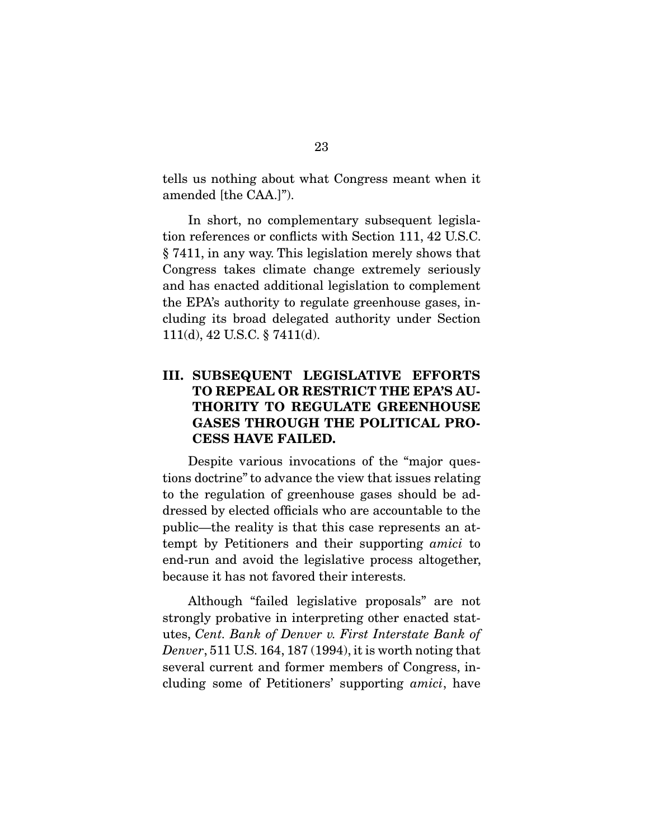tells us nothing about what Congress meant when it amended [the CAA.]").

 In short, no complementary subsequent legislation references or conflicts with Section 111, 42 U.S.C. § 7411, in any way. This legislation merely shows that Congress takes climate change extremely seriously and has enacted additional legislation to complement the EPA's authority to regulate greenhouse gases, including its broad delegated authority under Section 111(d), 42 U.S.C. § 7411(d).

# **III. SUBSEQUENT LEGISLATIVE EFFORTS TO REPEAL OR RESTRICT THE EPA'S AU-THORITY TO REGULATE GREENHOUSE GASES THROUGH THE POLITICAL PRO-CESS HAVE FAILED.**

 Despite various invocations of the "major questions doctrine" to advance the view that issues relating to the regulation of greenhouse gases should be addressed by elected officials who are accountable to the public—the reality is that this case represents an attempt by Petitioners and their supporting amici to end-run and avoid the legislative process altogether, because it has not favored their interests.

 Although "failed legislative proposals" are not strongly probative in interpreting other enacted statutes, Cent. Bank of Denver v. First Interstate Bank of Denver, 511 U.S. 164, 187 (1994), it is worth noting that several current and former members of Congress, including some of Petitioners' supporting amici, have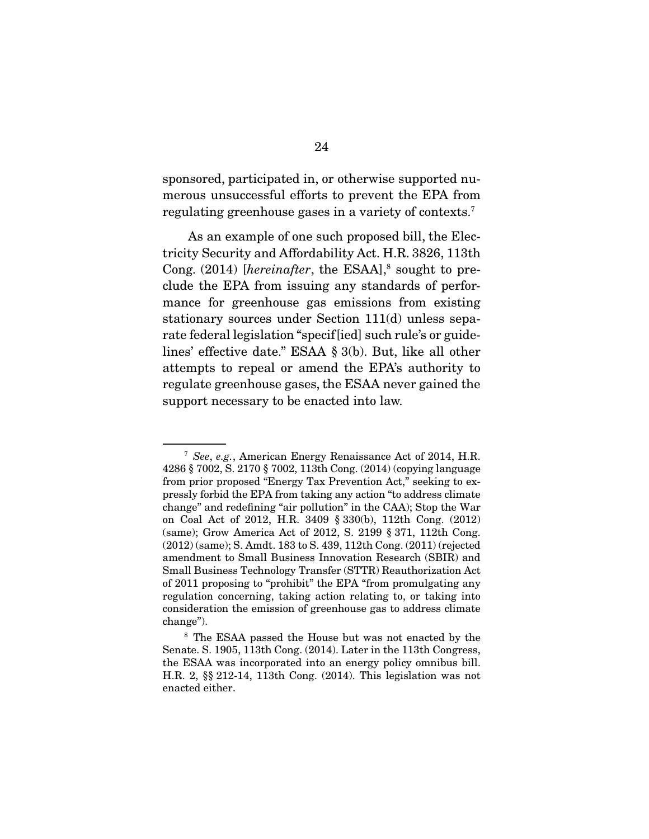sponsored, participated in, or otherwise supported numerous unsuccessful efforts to prevent the EPA from regulating greenhouse gases in a variety of contexts.7

 As an example of one such proposed bill, the Electricity Security and Affordability Act. H.R. 3826, 113th Cong.  $(2014)$  [hereinafter, the ESAA],<sup>8</sup> sought to preclude the EPA from issuing any standards of performance for greenhouse gas emissions from existing stationary sources under Section 111(d) unless separate federal legislation "specif[ied] such rule's or guidelines' effective date." ESAA § 3(b). But, like all other attempts to repeal or amend the EPA's authority to regulate greenhouse gases, the ESAA never gained the support necessary to be enacted into law.

<sup>7</sup> See, e.g., American Energy Renaissance Act of 2014, H.R. 4286 § 7002, S. 2170 § 7002, 113th Cong. (2014) (copying language from prior proposed "Energy Tax Prevention Act," seeking to expressly forbid the EPA from taking any action "to address climate change" and redefining "air pollution" in the CAA); Stop the War on Coal Act of 2012, H.R. 3409 § 330(b), 112th Cong. (2012) (same); Grow America Act of 2012, S. 2199 § 371, 112th Cong. (2012) (same); S. Amdt. 183 to S. 439, 112th Cong. (2011) (rejected amendment to Small Business Innovation Research (SBIR) and Small Business Technology Transfer (STTR) Reauthorization Act of 2011 proposing to "prohibit" the EPA "from promulgating any regulation concerning, taking action relating to, or taking into consideration the emission of greenhouse gas to address climate change").

<sup>8</sup> The ESAA passed the House but was not enacted by the Senate. S. 1905, 113th Cong. (2014). Later in the 113th Congress, the ESAA was incorporated into an energy policy omnibus bill. H.R. 2, §§ 212-14, 113th Cong. (2014). This legislation was not enacted either.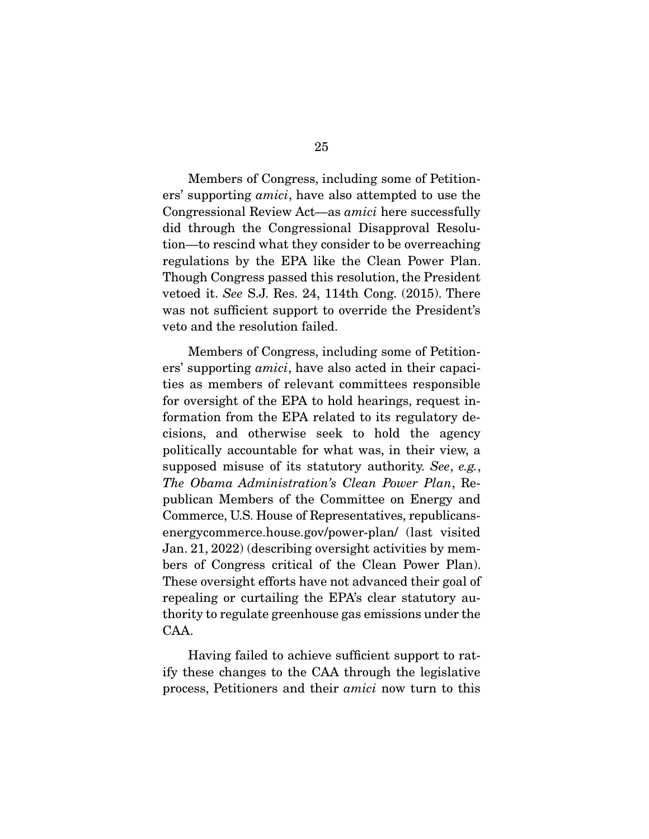Members of Congress, including some of Petitioners' supporting amici, have also attempted to use the Congressional Review Act—as amici here successfully did through the Congressional Disapproval Resolution—to rescind what they consider to be overreaching regulations by the EPA like the Clean Power Plan. Though Congress passed this resolution, the President vetoed it. See S.J. Res. 24, 114th Cong. (2015). There was not sufficient support to override the President's veto and the resolution failed.

 Members of Congress, including some of Petitioners' supporting amici, have also acted in their capacities as members of relevant committees responsible for oversight of the EPA to hold hearings, request information from the EPA related to its regulatory decisions, and otherwise seek to hold the agency politically accountable for what was, in their view, a supposed misuse of its statutory authority. See, e.g., The Obama Administration's Clean Power Plan, Republican Members of the Committee on Energy and Commerce, U.S. House of Representatives, republicansenergycommerce.house.gov/power-plan/ (last visited Jan. 21, 2022) (describing oversight activities by members of Congress critical of the Clean Power Plan). These oversight efforts have not advanced their goal of repealing or curtailing the EPA's clear statutory authority to regulate greenhouse gas emissions under the CAA.

 Having failed to achieve sufficient support to ratify these changes to the CAA through the legislative process, Petitioners and their amici now turn to this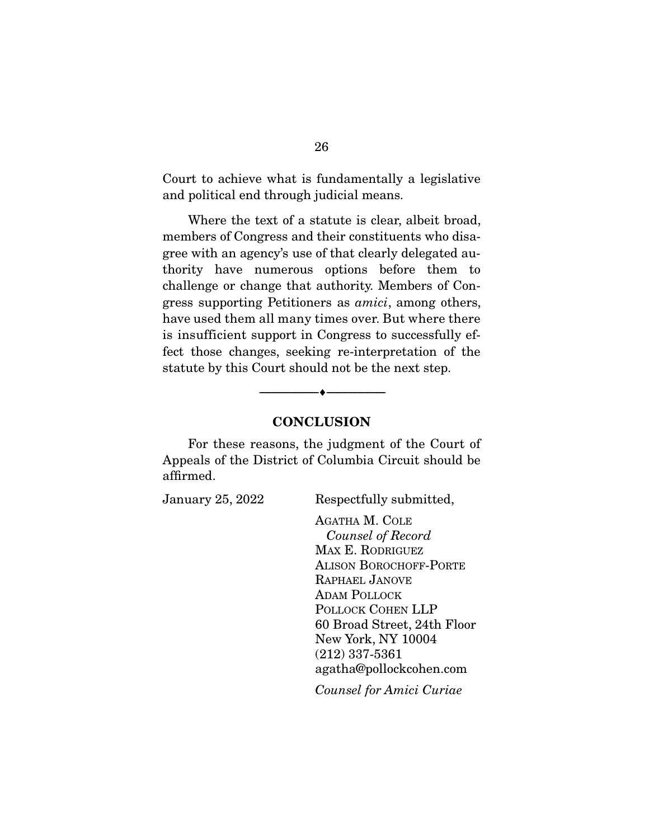Court to achieve what is fundamentally a legislative and political end through judicial means.

 Where the text of a statute is clear, albeit broad, members of Congress and their constituents who disagree with an agency's use of that clearly delegated authority have numerous options before them to challenge or change that authority. Members of Congress supporting Petitioners as amici, among others, have used them all many times over. But where there is insufficient support in Congress to successfully effect those changes, seeking re-interpretation of the statute by this Court should not be the next step.



--------------------------------- ♦ ---------------------------------

 For these reasons, the judgment of the Court of Appeals of the District of Columbia Circuit should be affirmed.

January 25, 2022 Respectfully submitted,

AGATHA M. COLE Counsel of Record MAX E. RODRIGUEZ ALISON BOROCHOFF-PORTE RAPHAEL JANOVE ADAM POLLOCK POLLOCK COHEN LLP 60 Broad Street, 24th Floor New York, NY 10004 (212) 337-5361 agatha@pollockcohen.com

Counsel for Amici Curiae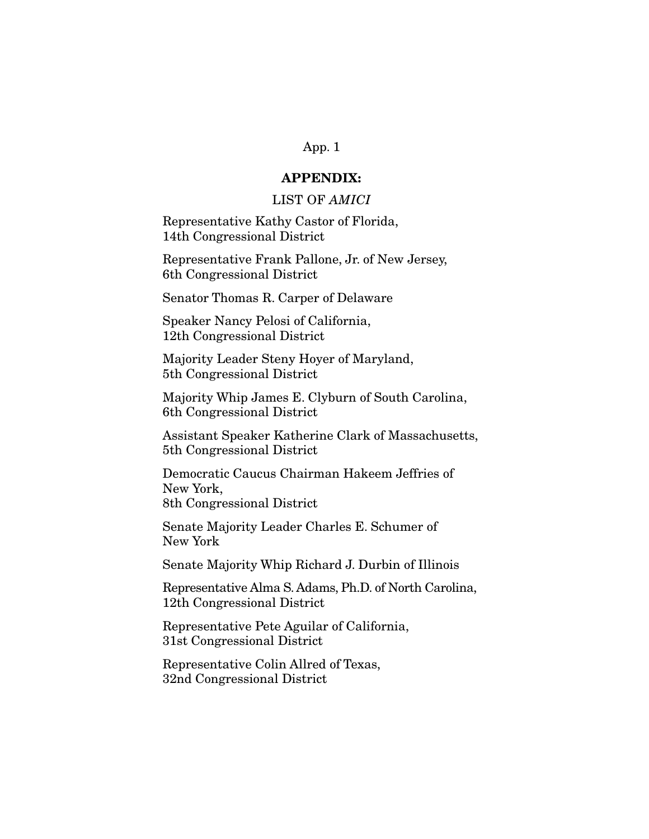# **APPENDIX:**

# LIST OF AMICI

Representative Kathy Castor of Florida, 14th Congressional District

Representative Frank Pallone, Jr. of New Jersey, 6th Congressional District

Senator Thomas R. Carper of Delaware

Speaker Nancy Pelosi of California, 12th Congressional District

Majority Leader Steny Hoyer of Maryland, 5th Congressional District

Majority Whip James E. Clyburn of South Carolina, 6th Congressional District

Assistant Speaker Katherine Clark of Massachusetts, 5th Congressional District

Democratic Caucus Chairman Hakeem Jeffries of New York, 8th Congressional District

Senate Majority Leader Charles E. Schumer of New York

Senate Majority Whip Richard J. Durbin of Illinois

Representative Alma S. Adams, Ph.D. of North Carolina, 12th Congressional District

Representative Pete Aguilar of California, 31st Congressional District

Representative Colin Allred of Texas, 32nd Congressional District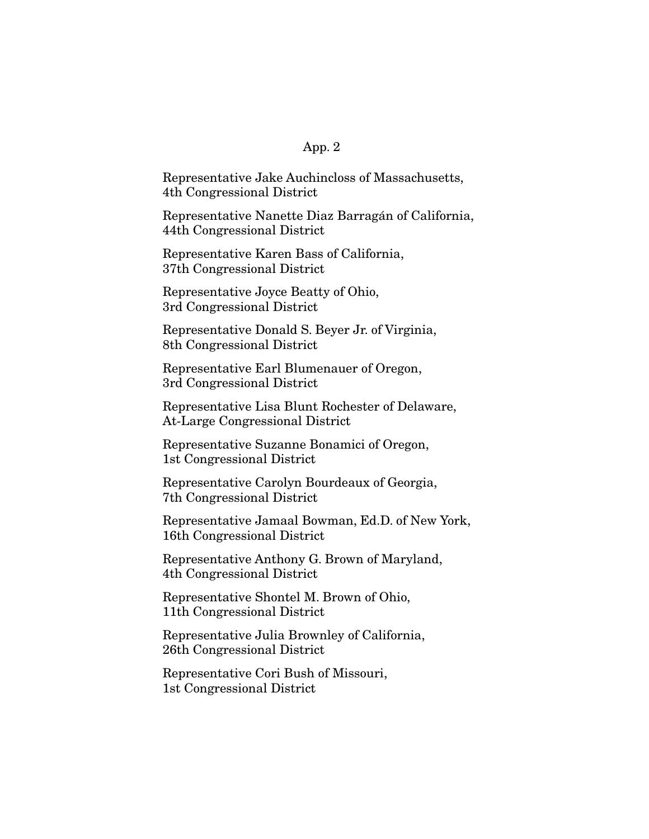Representative Jake Auchincloss of Massachusetts, 4th Congressional District

Representative Nanette Diaz Barragán of California, 44th Congressional District

Representative Karen Bass of California, 37th Congressional District

Representative Joyce Beatty of Ohio, 3rd Congressional District

Representative Donald S. Beyer Jr. of Virginia, 8th Congressional District

Representative Earl Blumenauer of Oregon, 3rd Congressional District

Representative Lisa Blunt Rochester of Delaware, At-Large Congressional District

Representative Suzanne Bonamici of Oregon, 1st Congressional District

Representative Carolyn Bourdeaux of Georgia, 7th Congressional District

Representative Jamaal Bowman, Ed.D. of New York, 16th Congressional District

Representative Anthony G. Brown of Maryland, 4th Congressional District

Representative Shontel M. Brown of Ohio, 11th Congressional District

Representative Julia Brownley of California, 26th Congressional District

Representative Cori Bush of Missouri, 1st Congressional District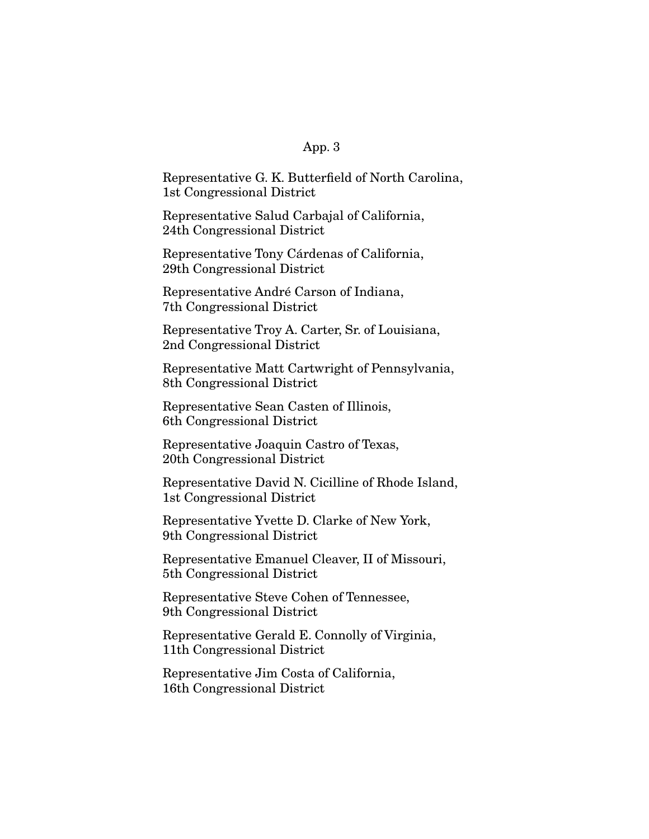Representative G. K. Butterfield of North Carolina, 1st Congressional District

Representative Salud Carbajal of California, 24th Congressional District

Representative Tony Cárdenas of California, 29th Congressional District

Representative André Carson of Indiana, 7th Congressional District

Representative Troy A. Carter, Sr. of Louisiana, 2nd Congressional District

Representative Matt Cartwright of Pennsylvania, 8th Congressional District

Representative Sean Casten of Illinois, 6th Congressional District

Representative Joaquin Castro of Texas, 20th Congressional District

Representative David N. Cicilline of Rhode Island, 1st Congressional District

Representative Yvette D. Clarke of New York, 9th Congressional District

Representative Emanuel Cleaver, II of Missouri, 5th Congressional District

Representative Steve Cohen of Tennessee, 9th Congressional District

Representative Gerald E. Connolly of Virginia, 11th Congressional District

Representative Jim Costa of California, 16th Congressional District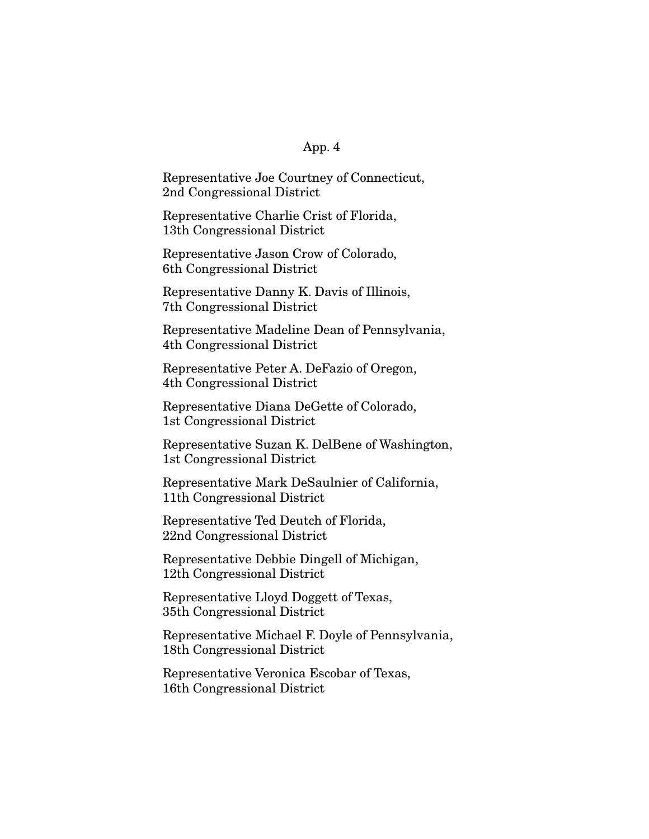Representative Joe Courtney of Connecticut, 2nd Congressional District

Representative Charlie Crist of Florida, 13th Congressional District

Representative Jason Crow of Colorado, 6th Congressional District

Representative Danny K. Davis of Illinois, 7th Congressional District

Representative Madeline Dean of Pennsylvania, 4th Congressional District

Representative Peter A. DeFazio of Oregon, 4th Congressional District

Representative Diana DeGette of Colorado, 1st Congressional District

Representative Suzan K. DelBene of Washington, 1st Congressional District

Representative Mark DeSaulnier of California, 11th Congressional District

Representative Ted Deutch of Florida, 22nd Congressional District

Representative Debbie Dingell of Michigan, 12th Congressional District

Representative Lloyd Doggett of Texas, 35th Congressional District

Representative Michael F. Doyle of Pennsylvania, 18th Congressional District

Representative Veronica Escobar of Texas, 16th Congressional District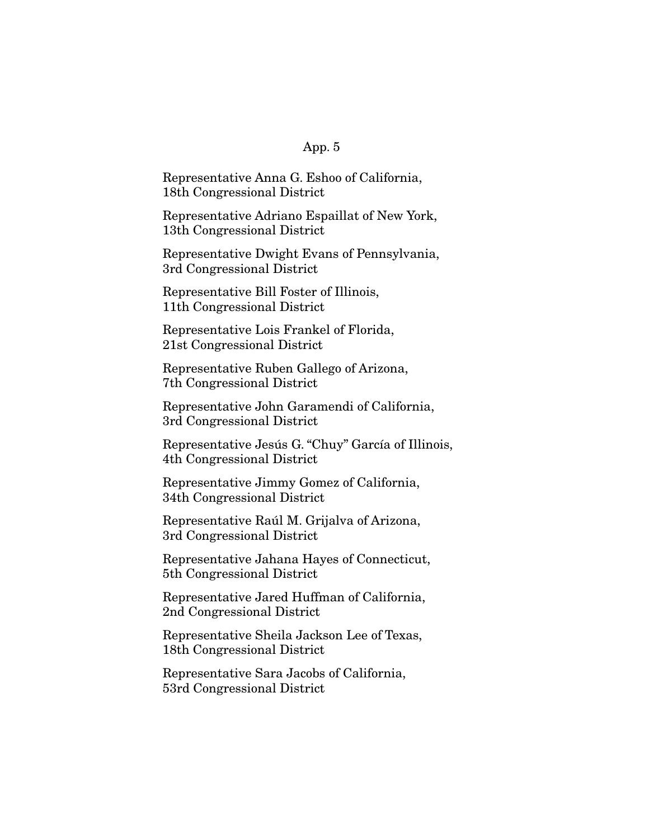Representative Anna G. Eshoo of California, 18th Congressional District

Representative Adriano Espaillat of New York, 13th Congressional District

Representative Dwight Evans of Pennsylvania, 3rd Congressional District

Representative Bill Foster of Illinois, 11th Congressional District

Representative Lois Frankel of Florida, 21st Congressional District

Representative Ruben Gallego of Arizona, 7th Congressional District

Representative John Garamendi of California, 3rd Congressional District

Representative Jesús G. "Chuy" García of Illinois, 4th Congressional District

Representative Jimmy Gomez of California, 34th Congressional District

Representative Raúl M. Grijalva of Arizona, 3rd Congressional District

Representative Jahana Hayes of Connecticut, 5th Congressional District

Representative Jared Huffman of California, 2nd Congressional District

Representative Sheila Jackson Lee of Texas, 18th Congressional District

Representative Sara Jacobs of California, 53rd Congressional District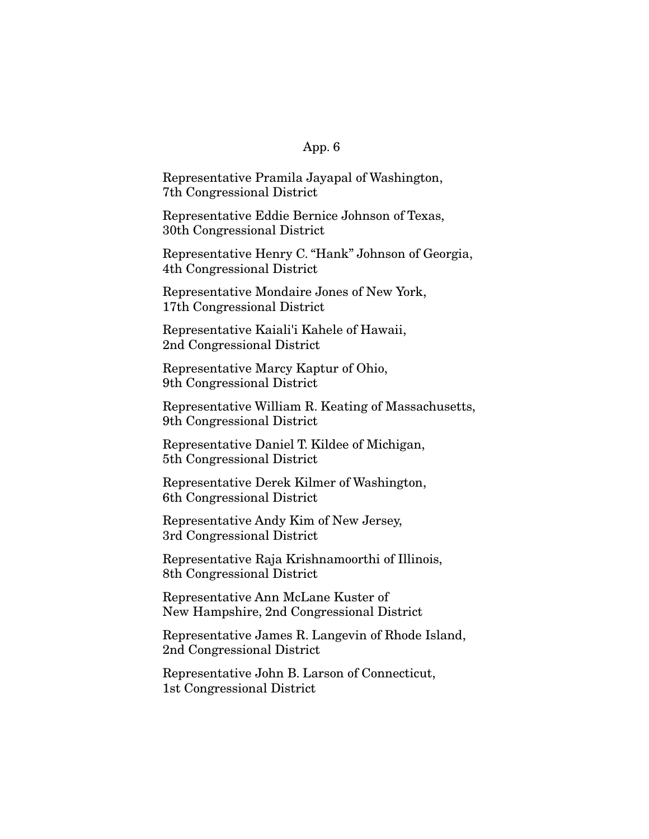Representative Pramila Jayapal of Washington, 7th Congressional District

Representative Eddie Bernice Johnson of Texas, 30th Congressional District

Representative Henry C. "Hank" Johnson of Georgia, 4th Congressional District

Representative Mondaire Jones of New York, 17th Congressional District

Representative Kaiali'i Kahele of Hawaii, 2nd Congressional District

Representative Marcy Kaptur of Ohio, 9th Congressional District

Representative William R. Keating of Massachusetts, 9th Congressional District

Representative Daniel T. Kildee of Michigan, 5th Congressional District

Representative Derek Kilmer of Washington, 6th Congressional District

Representative Andy Kim of New Jersey, 3rd Congressional District

Representative Raja Krishnamoorthi of Illinois, 8th Congressional District

Representative Ann McLane Kuster of New Hampshire, 2nd Congressional District

Representative James R. Langevin of Rhode Island, 2nd Congressional District

Representative John B. Larson of Connecticut, 1st Congressional District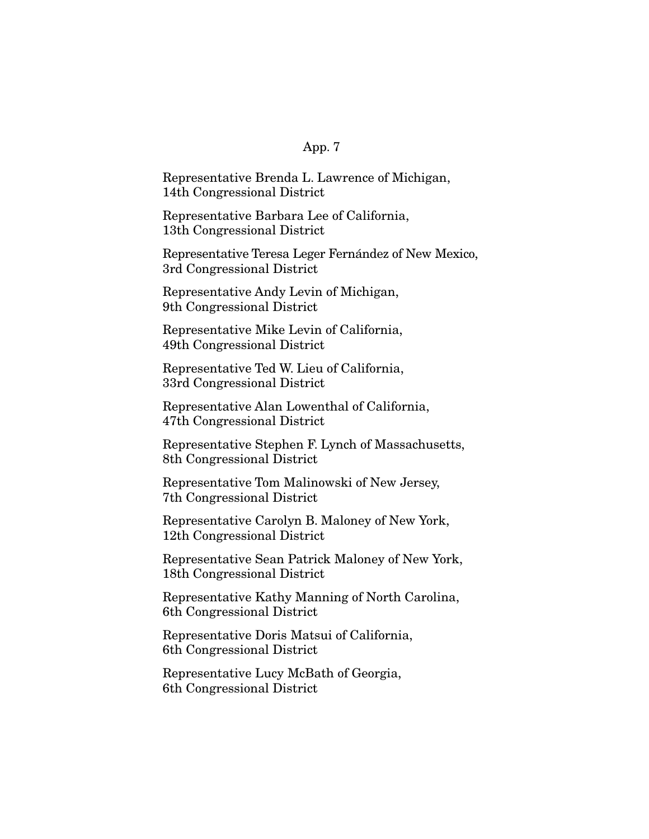Representative Brenda L. Lawrence of Michigan, 14th Congressional District

Representative Barbara Lee of California, 13th Congressional District

Representative Teresa Leger Fernández of New Mexico, 3rd Congressional District

Representative Andy Levin of Michigan, 9th Congressional District

Representative Mike Levin of California, 49th Congressional District

Representative Ted W. Lieu of California, 33rd Congressional District

Representative Alan Lowenthal of California, 47th Congressional District

Representative Stephen F. Lynch of Massachusetts, 8th Congressional District

Representative Tom Malinowski of New Jersey, 7th Congressional District

Representative Carolyn B. Maloney of New York, 12th Congressional District

Representative Sean Patrick Maloney of New York, 18th Congressional District

Representative Kathy Manning of North Carolina, 6th Congressional District

Representative Doris Matsui of California, 6th Congressional District

Representative Lucy McBath of Georgia, 6th Congressional District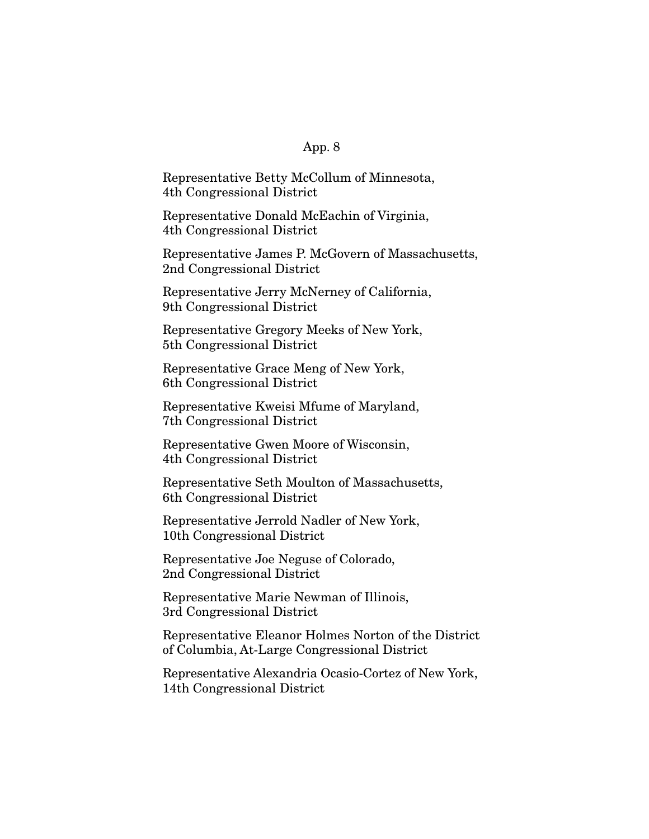Representative Betty McCollum of Minnesota, 4th Congressional District

Representative Donald McEachin of Virginia, 4th Congressional District

Representative James P. McGovern of Massachusetts, 2nd Congressional District

Representative Jerry McNerney of California, 9th Congressional District

Representative Gregory Meeks of New York, 5th Congressional District

Representative Grace Meng of New York, 6th Congressional District

Representative Kweisi Mfume of Maryland, 7th Congressional District

Representative Gwen Moore of Wisconsin, 4th Congressional District

Representative Seth Moulton of Massachusetts, 6th Congressional District

Representative Jerrold Nadler of New York, 10th Congressional District

Representative Joe Neguse of Colorado, 2nd Congressional District

Representative Marie Newman of Illinois, 3rd Congressional District

Representative Eleanor Holmes Norton of the District of Columbia, At-Large Congressional District

Representative Alexandria Ocasio-Cortez of New York, 14th Congressional District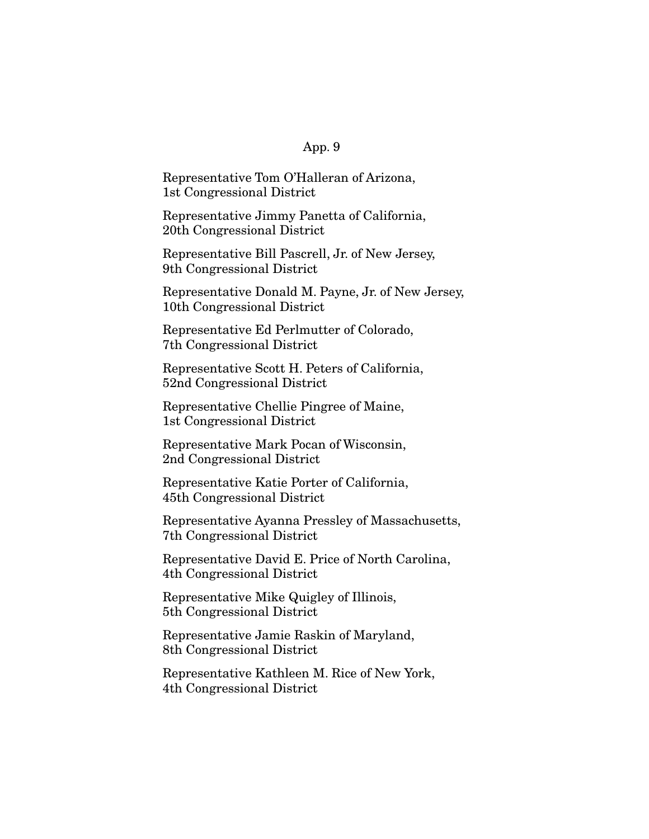Representative Tom O'Halleran of Arizona, 1st Congressional District

Representative Jimmy Panetta of California, 20th Congressional District

Representative Bill Pascrell, Jr. of New Jersey, 9th Congressional District

Representative Donald M. Payne, Jr. of New Jersey, 10th Congressional District

Representative Ed Perlmutter of Colorado, 7th Congressional District

Representative Scott H. Peters of California, 52nd Congressional District

Representative Chellie Pingree of Maine, 1st Congressional District

Representative Mark Pocan of Wisconsin, 2nd Congressional District

Representative Katie Porter of California, 45th Congressional District

Representative Ayanna Pressley of Massachusetts, 7th Congressional District

Representative David E. Price of North Carolina, 4th Congressional District

Representative Mike Quigley of Illinois, 5th Congressional District

Representative Jamie Raskin of Maryland, 8th Congressional District

Representative Kathleen M. Rice of New York, 4th Congressional District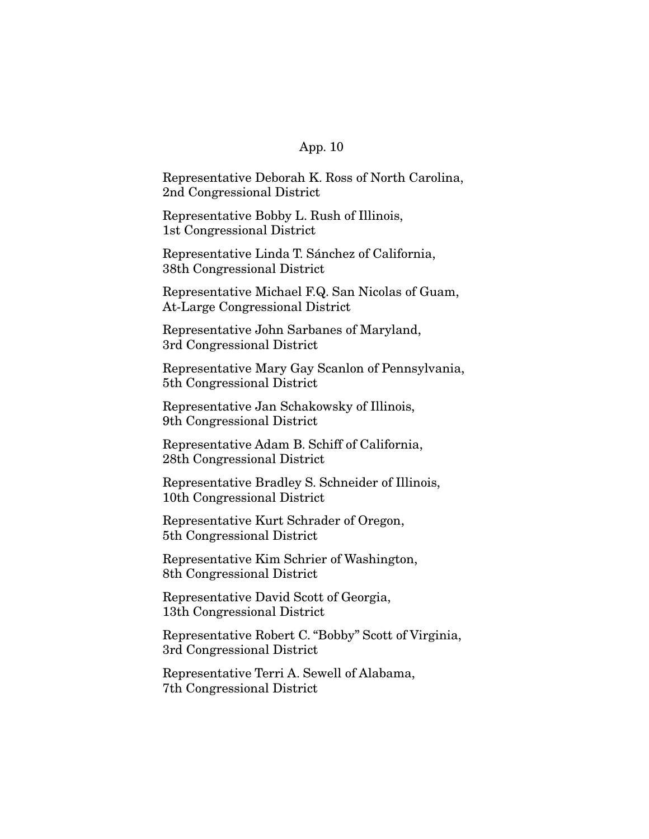Representative Deborah K. Ross of North Carolina, 2nd Congressional District

Representative Bobby L. Rush of Illinois, 1st Congressional District

Representative Linda T. Sánchez of California, 38th Congressional District

Representative Michael F.Q. San Nicolas of Guam, At-Large Congressional District

Representative John Sarbanes of Maryland, 3rd Congressional District

Representative Mary Gay Scanlon of Pennsylvania, 5th Congressional District

Representative Jan Schakowsky of Illinois, 9th Congressional District

Representative Adam B. Schiff of California, 28th Congressional District

Representative Bradley S. Schneider of Illinois, 10th Congressional District

Representative Kurt Schrader of Oregon, 5th Congressional District

Representative Kim Schrier of Washington, 8th Congressional District

Representative David Scott of Georgia, 13th Congressional District

Representative Robert C. "Bobby" Scott of Virginia, 3rd Congressional District

Representative Terri A. Sewell of Alabama, 7th Congressional District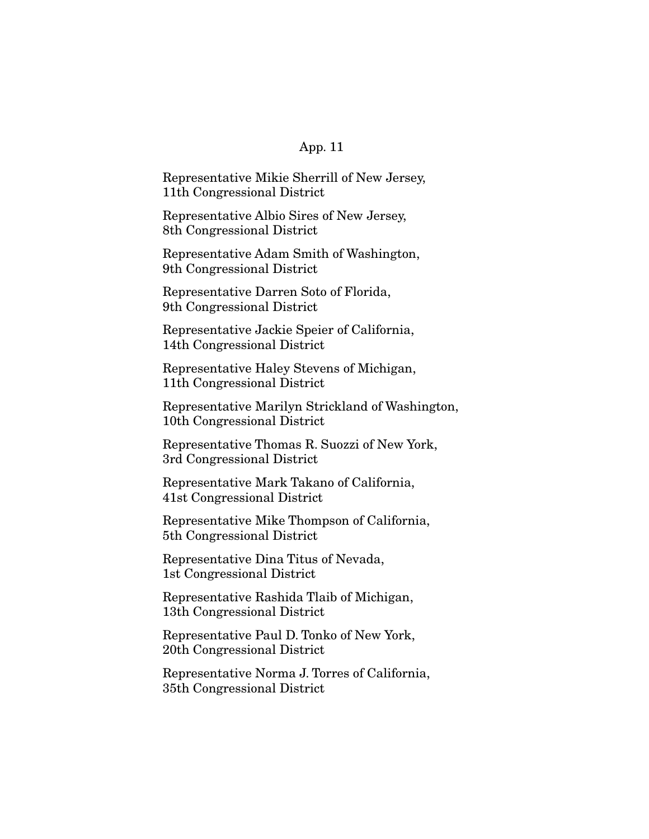Representative Mikie Sherrill of New Jersey, 11th Congressional District

Representative Albio Sires of New Jersey, 8th Congressional District

Representative Adam Smith of Washington, 9th Congressional District

Representative Darren Soto of Florida, 9th Congressional District

Representative Jackie Speier of California, 14th Congressional District

Representative Haley Stevens of Michigan, 11th Congressional District

Representative Marilyn Strickland of Washington, 10th Congressional District

Representative Thomas R. Suozzi of New York, 3rd Congressional District

Representative Mark Takano of California, 41st Congressional District

Representative Mike Thompson of California, 5th Congressional District

Representative Dina Titus of Nevada, 1st Congressional District

Representative Rashida Tlaib of Michigan, 13th Congressional District

Representative Paul D. Tonko of New York, 20th Congressional District

Representative Norma J. Torres of California, 35th Congressional District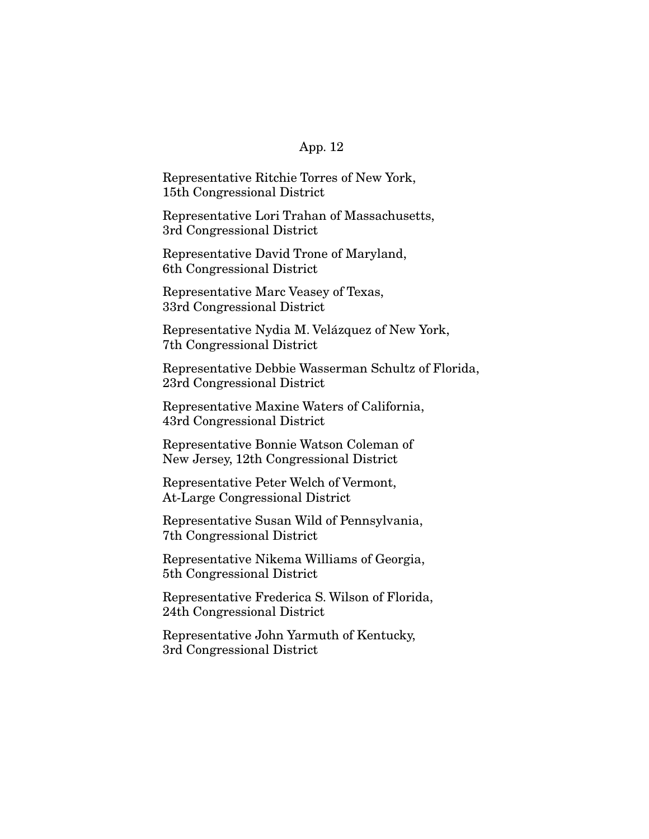Representative Ritchie Torres of New York, 15th Congressional District

Representative Lori Trahan of Massachusetts, 3rd Congressional District

Representative David Trone of Maryland, 6th Congressional District

Representative Marc Veasey of Texas, 33rd Congressional District

Representative Nydia M. Velázquez of New York, 7th Congressional District

Representative Debbie Wasserman Schultz of Florida, 23rd Congressional District

Representative Maxine Waters of California, 43rd Congressional District

Representative Bonnie Watson Coleman of New Jersey, 12th Congressional District

Representative Peter Welch of Vermont, At-Large Congressional District

Representative Susan Wild of Pennsylvania, 7th Congressional District

Representative Nikema Williams of Georgia, 5th Congressional District

Representative Frederica S. Wilson of Florida, 24th Congressional District

Representative John Yarmuth of Kentucky, 3rd Congressional District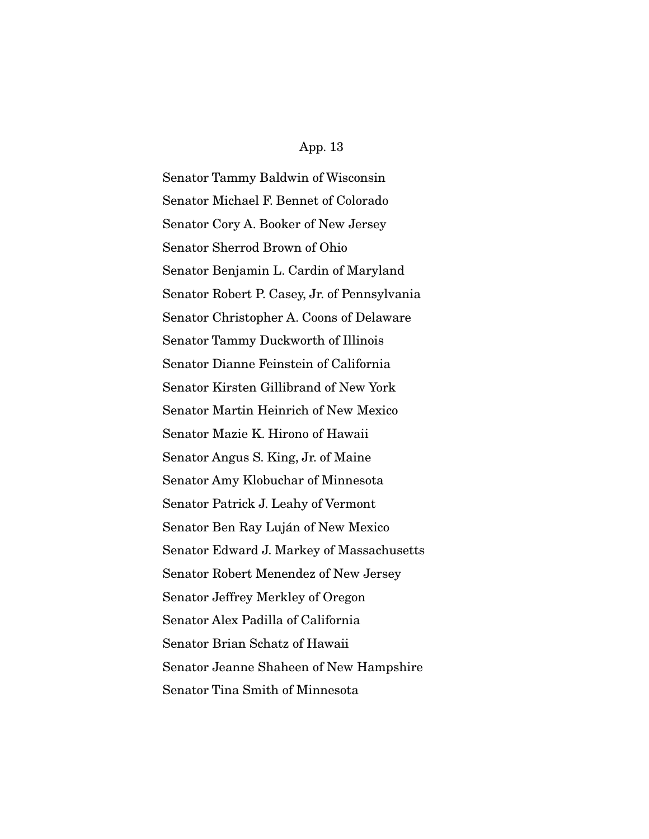Senator Tammy Baldwin of Wisconsin Senator Michael F. Bennet of Colorado Senator Cory A. Booker of New Jersey Senator Sherrod Brown of Ohio Senator Benjamin L. Cardin of Maryland Senator Robert P. Casey, Jr. of Pennsylvania Senator Christopher A. Coons of Delaware Senator Tammy Duckworth of Illinois Senator Dianne Feinstein of California Senator Kirsten Gillibrand of New York Senator Martin Heinrich of New Mexico Senator Mazie K. Hirono of Hawaii Senator Angus S. King, Jr. of Maine Senator Amy Klobuchar of Minnesota Senator Patrick J. Leahy of Vermont Senator Ben Ray Luján of New Mexico Senator Edward J. Markey of Massachusetts Senator Robert Menendez of New Jersey Senator Jeffrey Merkley of Oregon Senator Alex Padilla of California Senator Brian Schatz of Hawaii Senator Jeanne Shaheen of New Hampshire Senator Tina Smith of Minnesota